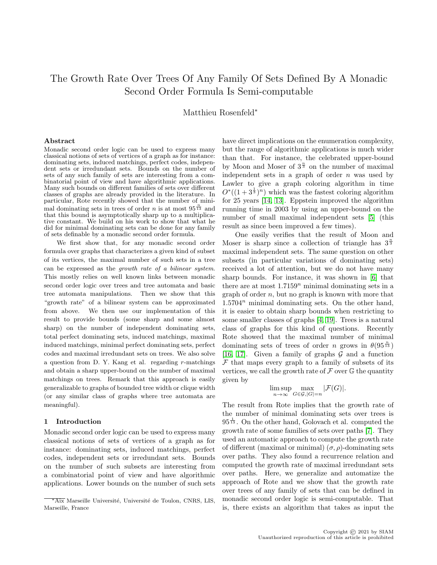# The Growth Rate Over Trees Of Any Family Of Sets Defined By A Monadic Second Order Formula Is Semi-computable

Matthieu Rosenfeld<sup>∗</sup>

#### Abstract

Monadic second order logic can be used to express many classical notions of sets of vertices of a graph as for instance: dominating sets, induced matchings, perfect codes, independent sets or irredundant sets. Bounds on the number of sets of any such family of sets are interesting from a combinatorial point of view and have algorithmic applications. Many such bounds on different families of sets over different classes of graphs are already provided in the literature. In particular, Rote recently showed that the number of minimal dominating sets in trees of order *n* is at most  $95^{\frac{n}{13}}$  and that this bound is asymptotically sharp up to a multiplicative constant. We build on his work to show that what he did for minimal dominating sets can be done for any family of sets definable by a monadic second order formula.

We first show that, for any monadic second order formula over graphs that characterizes a given kind of subset of its vertices, the maximal number of such sets in a tree can be expressed as the growth rate of a bilinear system. This mostly relies on well known links between monadic second order logic over trees and tree automata and basic tree automata manipulations. Then we show that this "growth rate" of a bilinear system can be approximated from above. We then use our implementation of this result to provide bounds (some sharp and some almost sharp) on the number of independent dominating sets, total perfect dominating sets, induced matchings, maximal induced matchings, minimal perfect dominating sets, perfect codes and maximal irredundant sets on trees. We also solve a question from D. Y. Kang et al. regarding  $r$ -matchings and obtain a sharp upper-bound on the number of maximal matchings on trees. Remark that this approach is easily generalizable to graphs of bounded tree width or clique width (or any similar class of graphs where tree automata are meaningful).

#### 1 Introduction

Monadic second order logic can be used to express many classical notions of sets of vertices of a graph as for instance: dominating sets, induced matchings, perfect codes, independent sets or irredundant sets. Bounds on the number of such subsets are interesting from a combinatorial point of view and have algorithmic applications. Lower bounds on the number of such sets

have direct implications on the enumeration complexity, but the range of algorithmic applications is much wider than that. For instance, the celebrated upper-bound by Moon and Moser of  $3^{\frac{n}{3}}$  on the number of maximal independent sets in a graph of order  $n$  was used by Lawler to give a graph coloring algorithm in time  $O^*((1+3^{\frac{1}{3}})^n)$  which was the fastest coloring algorithm for 25 years [\[14,](#page-18-0) [13\]](#page-18-1). Eppstein improved the algorithm running time in 2003 by using an upper-bound on the number of small maximal independent sets [\[5\]](#page-18-2) (this result as since been improved a few times).

One easily verifies that the result of Moon and Moser is sharp since a collection of triangle has  $3^{\frac{n}{3}}$ maximal independent sets. The same question on other subsets (in particular variations of dominating sets) received a lot of attention, but we do not have many sharp bounds. For instance, it was shown in [\[6\]](#page-18-3) that there are at most  $1.7159<sup>n</sup>$  minimal dominating sets in a graph of order  $n$ , but no graph is known with more that  $1.5704<sup>n</sup>$  minimal dominating sets. On the other hand, it is easier to obtain sharp bounds when restricting to some smaller classes of graphs [\[4,](#page-18-4) [19\]](#page-18-5). Trees is a natural class of graphs for this kind of questions. Recently Rote showed that the maximal number of minimal dominating sets of trees of order n grows in  $\theta(95^{\frac{n}{13}})$ [\[16,](#page-18-6) [17\]](#page-18-7). Given a family of graphs  $\mathcal G$  and a function  $\mathcal F$  that maps every graph to a family of subsets of its vertices, we call the growth rate of  $\mathcal F$  over  $\mathbb G$  the quantity given by

$$
\limsup_{n \to \infty} \max_{G \in \mathcal{G}, |G| = n} |\mathcal{F}(G)|.
$$

The result from Rote implies that the growth rate of the number of minimal dominating sets over trees is  $95^{\frac{1}{13}}$ . On the other hand, Golovach et al. computed the growth rate of some families of sets over paths [\[7\]](#page-18-8). They used an automatic approach to compute the growth rate of different (maximal or minimal)  $(\sigma, \rho)$ -dominating sets over paths. They also found a recurrence relation and computed the growth rate of maximal irredundant sets over paths. Here, we generalize and automatize the approach of Rote and we show that the growth rate over trees of any family of sets that can be defined in monadic second order logic is semi-computable. That is, there exists an algorithm that takes as input the

Aix Marseille Université, Université de Toulon, CNRS, LIS, Marseille, France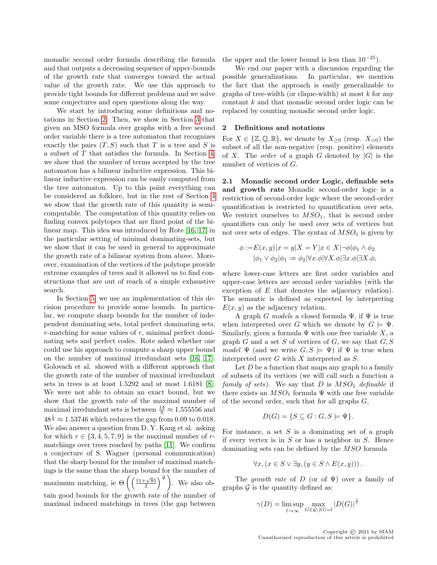monadic second order formula describing the formula and that outputs a decreasing sequence of upper-bounds of the growth rate that converges toward the actual value of the growth rate. We use this approach to provide tight bounds for different problems and we solve some conjectures and open questions along the way.

We start by introducing some definitions and notations in Section [2.](#page-1-0) Then, we show in Section [3](#page-2-0) that given an MSO formula over graphs with a free second order variable there is a tree automaton that recognizes exactly the pairs  $(T, S)$  such that T is a tree and S is a subset of T that satisfies the formula. In Section [4,](#page-4-0) we show that the number of terms accepted by the tree automaton has a bilinear inductive expression. This bilinear inductive expression can be easily computed from the tree automaton. Up to this point everything can be considered as folklore, but in the rest of Section [4](#page-4-0) we show that the growth rate of this quantity is semicomputable. The computation of this quantity relies on finding convex polytopes that are fixed point of the bilinear map. This idea was introduced by Rote [\[16,](#page-18-6) [17\]](#page-18-7) in the particular setting of minimal dominating-sets, but we show that it can be used in general to approximate the growth rate of a bilinear system from above. Moreover, examination of the vertices of the polytope provide extreme examples of trees and it allowed us to find constructions that are out of reach of a simple exhaustive search.

In Section [5,](#page-8-0) we use an implementation of this decision procedure to provide some bounds. In particular, we compute sharp bounds for the number of independent dominating sets, total perfect dominating sets,  $r$ -matching for some values of  $r$ , minimal perfect dominating sets and perfect codes. Rote asked whether one could use his approach to compute a sharp upper bound on the number of maximal irredundant sets [\[16,](#page-18-6) [17\]](#page-18-7). Golovach et al. showed with a different approach that the growth rate of the number of maximal irredundant sets in trees is at least 1.5292 and at most 1.6181 [\[8\]](#page-18-9). We were not able to obtain an exact bound, but we show that the growth rate of the maximal number of maximal irredundant sets is between  $\frac{14}{9} \approx 1.555556$  and  $48^{\frac{1}{9}} \approx 1.53746$  which reduces the gap from 0.09 to 0.018. We also answer a question from D. Y. Kang et al. asking for which  $r \in \{3, 4, 5, 7, 9\}$  is the maximal number of rmatchings over trees reached by paths [\[11\]](#page-18-10). We confirm a conjecture of S. Wagner (personal communication) that the sharp bound for the number of maximal matchings is the same than the sharp bound for the number of maximum matching, ie  $\Theta\left(\left(\frac{11+\sqrt{85}}{2}\right)^{\frac{n}{7}}\right)$ . We also obtain good bounds for the growth rate of the number of maximal induced matchings in trees (the gap between

the upper and the lower bound is less than  $10^{-25}$ ).

We end our paper with a discussion regarding the possible generalizations. In particular, we mention the fact that the approach is easily generalizable to graphs of tree-width (or clique-width) at most  $k$  for any constant k and that monadic second order logic can be replaced by counting monadic second order logic.

## <span id="page-1-0"></span>2 Definitions and notations

For  $X \in \{Z, \mathbb{Q}, \mathbb{R}\}$ , we denote by  $X_{\geq 0}$  (resp.  $X_{>0}$ ) the subset of all the non-negative (resp. positive) elements of X. The *order* of a graph G denoted by  $|G|$  is the number of vertices of G.

2.1 Monadic second order Logic, definable sets and growth rate Monadic second-order logic is a restriction of second-order logic where the second-order quantification is restricted to quantification over sets. We restrict ourselves to  $MSO<sub>1</sub>$ , that is second order quantifiers can only be used over sets of vertices but not over sets of edges. The syntax of  $MSO<sub>1</sub>$  is given by

$$
\phi := E(x, y)|x = y|X = Y|x \in X|\neg\phi|\phi_1 \land \phi_2
$$

$$
|\phi_1 \lor \phi_2|\phi_1 \Rightarrow \phi_2|\forall x. \phi|\forall X. \phi|\exists x. \phi|\exists X. \phi,
$$

where lower-case letters are first order variables and upper-case letters are second order variables (with the exception of  $E$  that denotes the adjacency relation). The semantic is defined as expected by interpreting  $E(x, y)$  as the adjacency relation.

A graph G models a closed formula  $\Psi$ , if  $\Psi$  is true when interpreted over G which we denote by  $G \models \Psi$ . Similarly, given a formula  $\Psi$  with one free variable X, a graph  $G$  and a set  $S$  of vertices of  $G$ , we say that  $G, S$ model  $\Psi$  (and we write  $G, S \models \Psi$ ) if  $\Psi$  is true when interpreted over  $G$  with  $X$  interpreted as  $S$ .

Let  $D$  be a function that maps any graph to a family of subsets of its vertices (we will call such a function a family of sets). We say that  $D$  is  $MSO<sub>1</sub>$  definable if there exists an  $MSO_1$  formula  $\Psi$  with one free variable of the second order, such that for all graphs  $G$ ,

$$
D(G) = \{ S \subseteq G : G, S \models \Psi \}.
$$

For instance, a set  $S$  is a dominating set of a graph if every vertex is in  $S$  or has a neighbor in  $S$ . Hence dominating sets can be defined by the MSO formula

$$
\forall x, (x \in S \lor \exists y, (y \in S \land E(x, y))).
$$

The growth rate of D (or of  $\Psi$ ) over a family of graphs  $\mathcal G$  is the quantity defined as:

$$
\gamma(D) = \limsup_{l \to \infty} \max_{G \in \mathcal{G}, |G| = l} |D(G)|^{\frac{1}{l}}
$$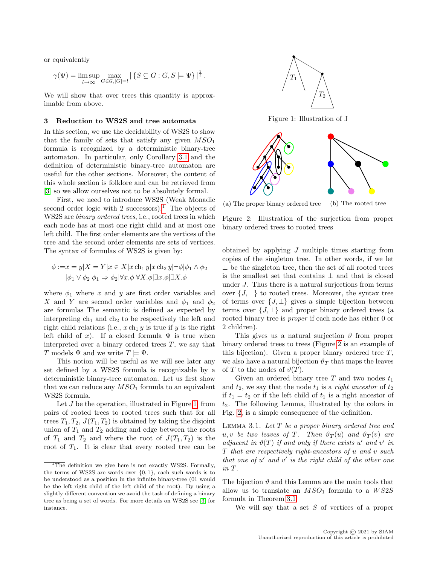or equivalently

$$
\gamma(\Psi) = \limsup_{l \to \infty} \max_{G \in \mathcal{G}, |G| = l} |\{S \subseteq G : G, S \models \Psi\}|^{\frac{1}{l}}.
$$

We will show that over trees this quantity is approximable from above.

# <span id="page-2-0"></span>3 Reduction to WS2S and tree automata

In this section, we use the decidability of WS2S to show that the family of sets that satisfy any given  $MSO<sub>1</sub>$ formula is recognized by a deterministic binary-tree automaton. In particular, only Corollary [3.1](#page-3-0) and the definition of deterministic binary-tree automaton are useful for the other sections. Moreover, the content of this whole section is folklore and can be retrieved from [\[3\]](#page-18-11) so we allow ourselves not to be absolutely formal.

First, we need to introduce WS2S (Weak Monadic second order logic with  $2$  successors).<sup>[1](#page-2-1)</sup> The objects of WS2S are binary ordered trees, i.e., rooted trees in which each node has at most one right child and at most one left child. The first order elements are the vertices of the tree and the second order elements are sets of vertices. The syntax of formulas of WS2S is given by:

$$
\phi := x = y|X = Y|x \in X|x \operatorname{ch}_1 y|x \operatorname{ch}_2 y| \neg \phi|\phi_1 \land \phi_2
$$

$$
|\phi_1 \lor \phi_2|\phi_1 \Rightarrow \phi_2|\forall x.\phi|\forall X.\phi|\exists x.\phi|\exists X.\phi
$$

where  $\phi_1$  where x and y are first order variables and X and Y are second order variables and  $\phi_1$  and  $\phi_2$ are formulas The semantic is defined as expected by interpreting  $ch_1$  and  $ch_2$  to be respectively the left and right child relations (i.e.,  $x \nch_1 y$  is true if y is the right left child of x). If a closed formula  $\Psi$  is true when interpreted over a binary ordered trees  $T$ , we say that T models  $\Psi$  and we write  $T \models \Psi$ .

This notion will be useful as we will see later any set defined by a WS2S formula is recognizable by a deterministic binary-tree automaton. Let us first show that we can reduce any  $MSO<sub>1</sub>$  formula to an equivalent WS2S formula.

Let J be the operation, illustrated in Figure [1,](#page-2-2) from pairs of rooted trees to rooted trees such that for all trees  $T_1, T_2, J(T_1, T_2)$  is obtained by taking the disjoint union of  $T_1$  and  $T_2$  adding and edge between the roots of  $T_1$  and  $T_2$  and where the root of  $J(T_1, T_2)$  is the root of  $T_1$ . It is clear that every rooted tree can be

<span id="page-2-2"></span>

Figure 1: Illustration of J

<span id="page-2-3"></span>

(a) The proper binary ordered tree (b) The rooted tree

Figure 2: Illustration of the surjection from proper binary ordered trees to rooted trees

obtained by applying J multiple times starting from copies of the singleton tree. In other words, if we let ⊥ be the singleton tree, then the set of all rooted trees is the smallest set that contains ⊥ and that is closed under J. Thus there is a natural surjections from terms over  $\{J, \perp\}$  to rooted trees. Moreover, the syntax tree of terms over  $\{J, \perp\}$  gives a simple bijection between terms over  $\{J, \perp\}$  and proper binary ordered trees (a rooted binary tree is proper if each node has either 0 or 2 children).

This gives us a natural surjection  $\vartheta$  from proper binary ordered trees to trees (Figure [2](#page-2-3) is an example of this bijection). Given a proper binary ordered tree  $T$ , we also have a natural bijection  $\vartheta_T$  that maps the leaves of T to the nodes of  $\vartheta(T)$ .

Given an ordered binary tree T and two nodes  $t_1$ and  $t_2$ , we say that the node  $t_1$  is a *right ancestor* of  $t_2$ if  $t_1 = t_2$  or if the left child of  $t_1$  is a right ancestor of  $t_2$ . The following Lemma, illustrated by the colors in Fig. [2,](#page-2-3) is a simple consequence of the definition.

<span id="page-2-4"></span>LEMMA 3.1. Let  $T$  be a proper binary ordered tree and u, v be two leaves of T. Then  $\vartheta_T(u)$  and  $\vartheta_T(v)$  are adjacent in  $\vartheta(T)$  if and only if there exists u' and v' in T that are respectively right-ancestors of u and v such that one of  $u'$  and  $v'$  is the right child of the other one in T.

The bijection  $\vartheta$  and this Lemma are the main tools that allow us to translate an  $MSO<sub>1</sub>$  formula to a  $WS2S$ formula in Theorem [3.1.](#page-3-1)

We will say that a set  $S$  of vertices of a proper

<span id="page-2-1"></span> $\overline{^{1}$ The definition we give here is not exactly WS2S. Formally, the terms of WS2S are words over {0, 1}, each such words is to be understood as a position in the infinite binary-tree (01 would be the left right child of the left child of the root). By using a slightly different convention we avoid the task of defining a binary tree as being a set of words. For more details on WS2S see [\[3\]](#page-18-11) for instance.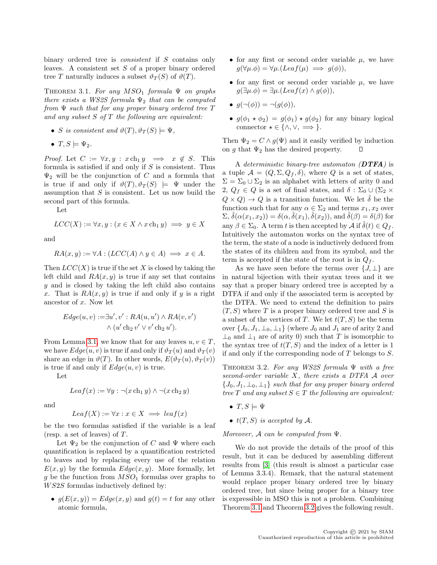binary ordered tree is *consistent* if S contains only leaves. A consistent set  $S$  of a proper binary ordered tree T naturally induces a subset  $\vartheta_T(S)$  of  $\vartheta(T)$ .

<span id="page-3-1"></span>THEOREM 3.1. For any  $MSO<sub>1</sub>$  formula  $\Psi$  on graphs there exists a WS2S formula  $\Psi_2$  that can be computed from  $\Psi$  such that for any proper binary ordered tree  $T$ and any subset  $S$  of  $T$  the following are equivalent:

- S is consistent and  $\vartheta(T), \vartheta_T(S) \models \Psi$ ,
- $T, S \models \Psi_2$ .

*Proof.* Let  $C := \forall x, y : x \text{ ch}_1 y \implies x \notin S$ . This formula is satisfied if and only if  $S$  is consistent. Thus  $\Psi_2$  will be the conjunction of C and a formula that is true if and only if  $\vartheta(T), \vartheta_T(S) \models \Psi$  under the assumption that  $S$  is consistent. Let us now build the second part of this formula.

Let

$$
LCC(X) := \forall x, y : (x \in X \land x \operatorname{ch}_1 y) \implies y \in X
$$

and

$$
RA(x, y) := \forall A : (LCC(A) \land y \in A) \implies x \in A.
$$

Then  $LCC(X)$  is true if the set X is closed by taking the left child and  $RA(x, y)$  is true if any set that contains y and is closed by taking the left child also contains x. That is  $RA(x, y)$  is true if and only if y is a right ancestor of x. Now let

$$
Edge(u, v) := \exists u', v' : RA(u, u') \land RA(v, v')
$$
  
 
$$
\land (u' \text{ ch}_2 v' \lor v' \text{ ch}_2 u').
$$

From Lemma [3.1,](#page-2-4) we know that for any leaves  $u, v \in T$ , we have  $Edge(u, v)$  is true if and only if  $\vartheta_T(u)$  and  $\vartheta_T(v)$ share an edge in  $\vartheta(T)$ . In other words,  $E(\vartheta_T(u), \vartheta_T(v))$ is true if and only if  $Edge(u, v)$  is true.

Let

$$
Leaf(x) := \forall y : \neg(x \operatorname{ch}_1 y) \land \neg(x \operatorname{ch}_2 y)
$$

and

$$
Leaf(X) := \forall x : x \in X \implies leaf(x)
$$

be the two formulas satisfied if the variable is a leaf (resp. a set of leaves) of T.

Let  $\Psi_2$  be the conjunction of C and  $\Psi$  where each quantification is replaced by a quantification restricted to leaves and by replacing every use of the relation  $E(x, y)$  by the formula  $Edge(x, y)$ . More formally, let g be the function from  $MSO<sub>1</sub>$  formulas over graphs to W S2S formulas inductively defined by:

•  $q(E(x, y)) = E \cdot dqe(x, y)$  and  $q(t) = t$  for any other atomic formula,

- for any first or second order variable  $\mu$ , we have  $g(\forall \mu \, \phi) = \forall \mu \, (Leaf(\mu) \implies g(\phi)),$
- for any first or second order variable  $\mu$ , we have  $q(\exists \mu \ldotp \phi) = \exists \mu \ldotp (Leaf(x) \wedge q(\phi)),$
- $q(\neg(\phi)) = \neg(q(\phi)),$
- $g(\phi_1 \star \phi_2) = g(\phi_1) \star g(\phi_2)$  for any binary logical connector  $\star \in \{\wedge, \vee, \Longrightarrow\}.$

Then  $\Psi_2 = C \wedge g(\Psi)$  and it easily verified by induction on g that  $\Psi_2$  has the desired property.  $\Box$ 

A deterministic binary-tree automaton  $(DTFA)$  is a tuple  $\mathcal{A} = (Q, \Sigma, Q_f, \delta)$ , where Q is a set of states,  $\Sigma = \Sigma_0 \cup \Sigma_2$  is an alphabet with letters of arity 0 and 2,  $Q_f \in Q$  is a set of final states, and  $\delta : \Sigma_0 \cup (\Sigma_2 \times$  $Q \times Q$   $\rightarrow$  Q is a transition function. We let  $\hat{\delta}$  be the function such that for any  $\alpha \in \Sigma_2$  and terms  $x_1, x_2$  over  $\Sigma, \hat{\delta}(\alpha(x_1, x_2)) = \delta(\alpha, \hat{\delta}(x_1), \hat{\delta}(x_2))$ , and  $\hat{\delta}(\beta) = \delta(\beta)$  for any  $\beta \in \Sigma_0$ . A term t is then accepted by  $\mathcal{A}$  if  $\delta(t) \in Q_f$ . Intuitively the automaton works on the syntax tree of the term, the state of a node is inductively deduced from the states of its children and from its symbol, and the term is accepted if the state of the root is in  $Q_f$ .

As we have seen before the terms over  $\{J, \perp\}$  are in natural bijection with their syntax trees and it we say that a proper binary ordered tree is accepted by a DTFA if and only if the associated term is accepted by the DTFA. We need to extend the definition to pairs  $(T, S)$  where T is a proper binary ordered tree and S is a subset of the vertices of T. We let  $t(T, S)$  be the term over  $\{J_0, J_1, \perp_0, \perp_1\}$  (where  $J_0$  and  $J_1$  are of arity 2 and  $\perp_0$  and  $\perp_1$  are of arity 0) such that T is isomorphic to the syntax tree of  $t(T, S)$  and the index of a letter is 1 if and only if the corresponding node of T belongs to S.

<span id="page-3-2"></span>THEOREM 3.2. For any WS2S formula  $\Psi$  with a free second-order variable X, there exists a DTFA A over  ${J_0, J_1, \perp_0, \perp_1}$  such that for any proper binary ordered tree T and any subset  $S \in T$  the following are equivalent:

- $T, S \models \Psi$
- $t(T, S)$  is accepted by A.

Moreover,  $\mathcal A$  can be computed from  $\Psi$ .

<span id="page-3-0"></span>We do not provide the details of the proof of this result, but it can be deduced by assembling different results from [\[3\]](#page-18-11) (this result is almost a particular case of Lemma 3.3.4). Remark, that the natural statement would replace proper binary ordered tree by binary ordered tree, but since being proper for a binary tree is expressible in MSO this is not a problem. Combining Theorem [3.1](#page-3-1) and Theorem [3.2](#page-3-2) gives the following result.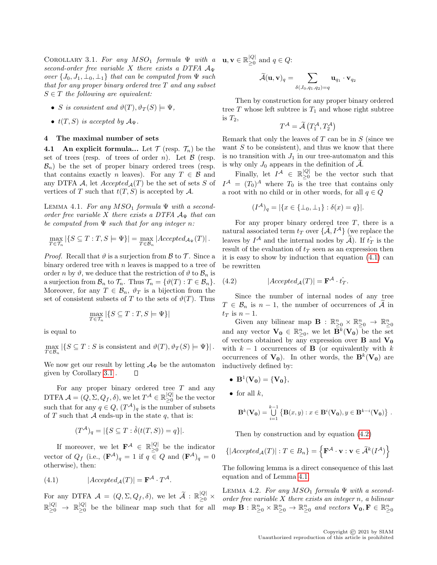COROLLARY 3.1. For any  $MSO<sub>1</sub>$  formula  $\Psi$  with a second-order free variable X there exists a DTFA  $A_{\Psi}$ over  $\{J_0, J_1, \perp_0, \perp_1\}$  that can be computed from  $\Psi$  such that for any proper binary ordered tree T and any subset  $S \in T$  the following are equivalent:

- S is consistent and  $\vartheta(T), \vartheta_T(S) \models \Psi$ ,
- $t(T, S)$  is accepted by  $\mathcal{A}_{\Psi}$ .

#### <span id="page-4-0"></span>4 The maximal number of sets

**4.1** An explicit formula... Let  $\mathcal{T}$  (resp.  $\mathcal{T}_n$ ) be the set of trees (resp. of trees of order n). Let  $\beta$  (resp.  $\mathcal{B}_n$ ) be the set of proper binary ordered trees (resp. that contains exactly n leaves). For any  $T \in \mathcal{B}$  and any DTFA A, let  $Accepted_{\mathcal{A}}(T)$  be the set of sets S of vertices of T such that  $t(T, S)$  is accepted by A.

<span id="page-4-3"></span>LEMMA 4.1. For any  $MSO<sub>1</sub>$  formula  $\Psi$  with a secondorder free variable X there exists a DTFA  $A_{\Psi}$  that can be computed from  $\Psi$  such that for any integer n:

$$
\max_{T \in \mathcal{T}_n} |\{ S \subseteq T : T, S \models \Psi \}| = \max_{T \in \mathcal{B}_n} |Accepted_{\mathcal{A}_{\Psi}}(T)|.
$$

*Proof.* Recall that  $\vartheta$  is a surjection from  $\beta$  to  $\mathcal{T}$ . Since a binary ordered tree with  $n$  leaves is mapped to a tree of order n by  $\vartheta$ , we deduce that the restriction of  $\vartheta$  to  $\mathcal{B}_n$  is a surjection from  $\mathcal{B}_n$  to  $\mathcal{T}_n$ . Thus  $\mathcal{T}_n = {\vartheta(T) : T \in \mathcal{B}_n}.$ Moreover, for any  $T \in \mathcal{B}_n$ ,  $\vartheta_T$  is a bijection from the set of consistent subsets of T to the sets of  $\vartheta(T)$ . Thus

$$
\max_{T \in \mathcal{T}_n} |\{ S \subseteq T : T, S \models \Psi \}|
$$

is equal to

$$
\max_{T \in \mathcal{B}_n} |\{ S \subseteq T : S \text{ is consistent and } \vartheta(T), \vartheta_T(S) \models \Psi \}|.
$$

We now get our result by letting  $\mathcal{A}_{\Psi}$  be the automaton given by Corollary [3.1](#page-3-0) . П

For any proper binary ordered tree  $T$  and any DTFA  $\mathcal{A} = (Q, \Sigma, Q_f, \delta)$ , we let  $T^{\mathcal{A}} \in \mathbb{R}_{\geq 0}^{|Q|}$  $\geq 0$  be the vector such that for any  $q \in Q$ ,  $(T^{\mathcal{A}})_{q}$  is the number of subsets of T such that A ends-up in the state  $q$ , that is:

$$
(T^{\mathcal{A}})_{q} = |\{ S \subseteq T : \hat{\delta}(t(T, S)) = q \}|.
$$

If moreover, we let  $\mathbf{F}^{\mathcal{A}} \in \mathbb{R}_{\geq 0}^{|Q|}$  $\geq_0$  be the indicator vector of  $Q_f$  (i.e.,  $(\mathbf{F}^{\mathcal{A}})_q = 1$  if  $q \in Q$  and  $(\mathbf{F}^{\mathcal{A}})_q = 0$ otherwise), then:

(4.1) 
$$
|Accepted_{\mathcal{A}}(T)| = \mathbf{F}^{\mathcal{A}} \cdot T^{\mathcal{A}}.
$$

For any DTFA  $\mathcal{A} = (Q, \Sigma, Q_f, \delta)$ , we let  $\widetilde{\mathcal{A}} : \mathbb{R}_{\geq 0}^{|Q|} \times$  $\mathbb{R}_{\geq 0}^{|Q|} \ \to \ \mathbb{R}_{\geq 0}^{|Q|}$ 

 $\mathbf{u}, \mathbf{v} \in \mathbb{R}_{\geq 0}^{|Q|}$  $\sum_{\geq 0}^{|Q|}$  and  $q \in Q$ :

$$
\widetilde{\mathcal{A}}(\mathbf{u},\mathbf{v})_q = \sum_{\delta(J_0,q_1,q_2) = q} \mathbf{u}_{q_1} \cdot \mathbf{v}_{q_2}
$$

Then by construction for any proper binary ordered tree  $T$  whose left subtree is  $T_1$  and whose right subtree is  $T_2$ ,

$$
T^{\mathcal{A}} = \widetilde{\mathcal{A}}\left(T^{\mathcal{A}}_1, T^{\mathcal{A}}_2\right)
$$

Remark that only the leaves of  $T$  can be in  $S$  (since we want  $S$  to be consistent), and thus we know that there is no transition with  $J_1$  in our tree-automaton and this is why only  $J_0$  appears in the definition of  $\widetilde{\mathcal{A}}$ .

Finally, let  $I^{\mathcal{A}} \in \mathbb{R}_{\geq 0}^{|Q|}$  $\geq 0$  be the vector such that  $I^{\mathcal{A}} = (T_0)^{\mathcal{A}}$  where  $T_0$  is the tree that contains only a root with no child or in other words, for all  $q \in Q$ 

$$
(I^{\mathcal{A}})_{q} = |\{x \in \{\bot_0, \bot_1\} : \delta(x) = q\}|.
$$

For any proper binary ordered tree  $T$ , there is a natural associated term  $t_T$  over  $\{\tilde{A}, I^{\mathcal{A}}\}$  (we replace the leaves by  $I^{\mathcal{A}}$  and the internal nodes by  $\widetilde{\mathcal{A}}$ ). If  $\hat{t}_T$  is the result of the evaluation of  $t_T$  seen as an expression then it is easy to show by induction that equation [\(4.1\)](#page-4-1) can be rewritten

<span id="page-4-2"></span>(4.2) 
$$
|Accepted_{\mathcal{A}}(T)| = \mathbf{F}^{\mathcal{A}} \cdot \hat{t_T}.
$$

Since the number of internal nodes of any tree  $T \in \mathcal{B}_n$  is  $n-1$ , the number of occurrences of A in  $t_T$  is  $n-1$ .

Given any bilinear map  $\mathbf{B} : \mathbb{R}^n_{\geq 0} \times \mathbb{R}^n_{\geq 0} \to \mathbb{R}^n_{\geq 0}$ and any vector  $\mathbf{V_0} \in \mathbb{R}_{\geq 0}^n$ , we let  $\overline{\mathbf{B}}^k(\mathbf{V_0})$  be the set of vectors obtained by any expression over **B** and  $V_0$ with  $k - 1$  occurrences of **B** (or equivalently with k occurrences of  $V_0$ ). In other words, the  $B^k(V_0)$  are inductively defined by:

- $B^1(V_0) = {V_0},$
- for all  $k$ .

$$
\mathbf{B}^k(\mathbf{V_0}) = \bigcup_{i=1}^{k-1} \left\{ \mathbf{B}(x,y) : x \in \mathbf{B}^i(\mathbf{V_0}), y \in \mathbf{B}^{k-i}(\mathbf{V_0}) \right\}.
$$

Then by construction and by equation [\(4.2\)](#page-4-2)

$$
\{ |Accepted_{\mathcal{A}}(T)| : T \in B_n \} = \left\{ \mathbf{F}^{\mathcal{A}} \cdot \mathbf{v} : \mathbf{v} \in \widetilde{\mathcal{A}}^k(I^{\mathcal{A}}) \right\}
$$

The following lemma is a direct consequence of this last equation and of Lemma [4.1.](#page-4-3)

<span id="page-4-1"></span> $\mathbb{R}^{\vert Q \vert}_{\geq 0}$  be the bilinear map such that for all  $map \ \mathbf{B}: \mathbb{R}^n_{\geq 0} \times \mathbb{R}^n_{\geq 0} \to \mathbb{R}^n_{\geq 0}$  and vectors  $\mathbf{V_0}, \mathbf{F} \in \mathbb{R}^n_{\geq 0}$ LEMMA 4.2. For any  $MSO<sub>1</sub>$  formula  $\Psi$  with a secondorder free variable  $X$  there exists an integer  $n$ , a bilinear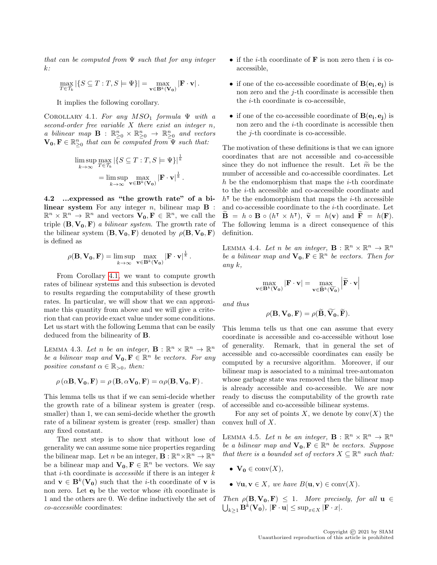that can be computed from  $\Psi$  such that for any integer  $k$ :

$$
\max_{T \in \mathcal{T}_k} |\{ S \subseteq T : T, S \models \Psi \}| = \max_{\mathbf{v} \in \mathbf{B}^k(\mathbf{V_0})} |\mathbf{F} \cdot \mathbf{v}|.
$$

It implies the following corollary.

COROLLARY 4.1. For any  $MSO<sub>1</sub>$  formula  $\Psi$  with a second-order free variable  $X$  there exist an integer  $n$ , a bilinear map  $\mathbf{B}$ :  $\mathbb{R}_{\geq 0}^n \times \mathbb{R}_{\geq 0}^n \rightarrow \mathbb{R}_{\geq 0}^n$  and vectors  $\mathbf{V_0}, \mathbf{F} \in \mathbb{R}_{\geq 0}^n$  that can be computed from  $\mathbf{\Psi}$  such that:

$$
\limsup_{k \to \infty} \max_{T \in \mathcal{T}_k} |\{ S \subseteq T : T, S \models \Psi \}|^{\frac{1}{k}}
$$

$$
= \limsup_{k \to \infty} \max_{\mathbf{v} \in \mathbf{B}^k(\mathbf{V_0})} |\mathbf{F} \cdot \mathbf{v}|^{\frac{1}{k}}.
$$

4.2 ...expressed as "the growth rate" of a bilinear system For any integer  $n$ , bilinear map  $\bf{B}$ :  $\mathbb{R}^n \times \mathbb{R}^n \to \mathbb{R}^n$  and vectors  $\mathbf{V_0}, \mathbf{F} \in \mathbb{R}^n$ , we call the triple  $(\mathbf{B}, \mathbf{V_0}, \mathbf{F})$  a bilinear system. The growth rate of the bilinear system  $(\mathbf{B}, \mathbf{V_0}, \mathbf{F})$  denoted by  $\rho(\mathbf{B}, \mathbf{V_0}, \mathbf{F})$ is defined as

$$
\rho(\mathbf{B}, \mathbf{V_0}, \mathbf{F}) = \limsup_{k \to \infty} \max_{\mathbf{v} \in \mathbf{B}^k(\mathbf{V_0})} |\mathbf{F} \cdot \mathbf{v}|^{\frac{1}{k}}.
$$

From Corollary [4.1,](#page-5-0) we want to compute growth rates of bilinear systems and this subsection is devoted to results regarding the computability of these growth rates. In particular, we will show that we can approximate this quantity from above and we will give a criterion that can provide exact value under some conditions. Let us start with the following Lemma that can be easily deduced from the bilinearity of B.

LEMMA 4.3. Let n be an integer,  $\mathbf{B}: \mathbb{R}^n \times \mathbb{R}^n \to \mathbb{R}^n$ be a bilinear map and  $\mathbf{V_0}, \mathbf{F} \in \mathbb{R}^n$  be vectors. For any positive constant  $\alpha \in \mathbb{R}_{>0}$ , then:

$$
\rho(\alpha \mathbf{B}, \mathbf{V_0}, \mathbf{F}) = \rho(\mathbf{B}, \alpha \mathbf{V_0}, \mathbf{F}) = \alpha \rho(\mathbf{B}, \mathbf{V_0}, \mathbf{F}).
$$

This lemma tells us that if we can semi-decide whether the growth rate of a bilinear system is greater (resp. smaller) than 1, we can semi-decide whether the growth rate of a bilinear system is greater (resp. smaller) than any fixed constant.

The next step is to show that without lose of generality we can assume some nice properties regarding the bilinear map. Let *n* be an integer,  $\mathbf{B} : \mathbb{R}^n \times \mathbb{R}^n \to \mathbb{R}^n$ be a bilinear map and  $\mathbf{V_0}, \mathbf{F} \in \mathbb{R}^n$  be vectors. We say that *i*-th coordinate is *accessible* if there is an integer  $k$ and  $\mathbf{v} \in \mathbf{B}^k(\mathbf{V_0})$  such that the *i*-th coordinate of **v** is non zero. Let  $e_i$  be the vector whose *i*th coordinate is 1 and the others are 0. We define inductively the set of co-accessible coordinates:

- if the *i*-th coordinate of  $\bf{F}$  is non zero then *i* is coaccessible,
- <span id="page-5-0"></span>• if one of the co-accessible coordinate of  $B(e_i, e_j)$  is non zero and the j-th coordinate is accessible then the i-th coordinate is co-accessible,
- if one of the co-accessible coordinate of  $B(e_i, e_j)$  is non zero and the *i*-th coordinate is accessible then the j-th coordinate is co-accessible.

The motivation of these definitions is that we can ignore coordinates that are not accessible and co-accessible since they do not influence the result. Let  $\tilde{m}$  be the number of accessible and co-accessible coordinates. Let h be the endomorphism that maps the  $i$ -th coordinate to the i-th accessible and co-accessible coordinate and  $h^{\dagger}$  be the endomorphism that maps the *i*-th accessible and co-accessible coordinate to the i-th coordinate. Let  $\widetilde{\mathbf{B}} = h \circ \mathbf{B} \circ (h^{\mathsf{T}} \times h^{\mathsf{T}}), \ \widetilde{\mathbf{v}} = h(\mathbf{v}) \text{ and } \widetilde{\mathbf{F}} = h(\mathbf{F}).$ <br>The following lomma is a direct consequence of this The following lemma is a direct consequence of this definition.

LEMMA 4.4. Let n be an integer,  $\mathbf{B}: \mathbb{R}^n \times \mathbb{R}^n \to \mathbb{R}^n$ be a bilinear map and  $\mathbf{V_0}, \mathbf{F} \in \mathbb{R}^n$  be vectors. Then for any k,

$$
\max_{\mathbf{v}\in\mathbf{B}^k(\mathbf{V_0})}|\mathbf{F}\cdot\mathbf{v}|=\max_{\mathbf{v}\in\widetilde{\mathbf{B}}^k(\widetilde{\mathbf{V_0}})}\left|\widetilde{\mathbf{F}}\cdot\mathbf{v}\right|
$$

and thus

$$
\rho(\mathbf{B}, \mathbf{V_0}, \mathbf{F}) = \rho(\widetilde{\mathbf{B}}, \widetilde{\mathbf{V_0}}, \widetilde{\mathbf{F}}).
$$

<span id="page-5-1"></span>This lemma tells us that one can assume that every coordinate is accessible and co-accessible without lose of generality. Remark, that in general the set of accessible and co-accessible coordinates can easily be computed by a recursive algorithm. Moreover, if our bilinear map is associated to a minimal tree-automaton whose garbage state was removed then the bilinear map is already accessible and co-accessible. We are now ready to discuss the computability of the growth rate of accessible and co-accessible bilinear systems.

<span id="page-5-2"></span>For any set of points X, we denote by  $conv(X)$  the convex hull of X.

LEMMA 4.5. Let n be an integer,  $\mathbf{B}: \mathbb{R}^n \times \mathbb{R}^n \to \mathbb{R}^n$ be a bilinear map and  $\mathbf{V_0}, \mathbf{F} \in \mathbb{R}^n$  be vectors. Suppose that there is a bounded set of vectors  $X \subseteq \mathbb{R}^n$  such that:

- $V_0 \in \text{conv}(X)$ ,
- $\forall$ **u**,  $\mathbf{v} \in X$ , we have  $B(\mathbf{u}, \mathbf{v}) \in \text{conv}(X)$ .
- Then  $\rho(\mathbf{B}, \mathbf{V_0}, \mathbf{F}) \leq 1$ . More precisely, for all  $\mathbf{u} \in$  $\bigcup_{k\geq 1} \mathbf{B}^k(\mathbf{V_0}), |\mathbf{F}\cdot\mathbf{u}| \leq \sup_{x\in X} |\mathbf{F}\cdot x|.$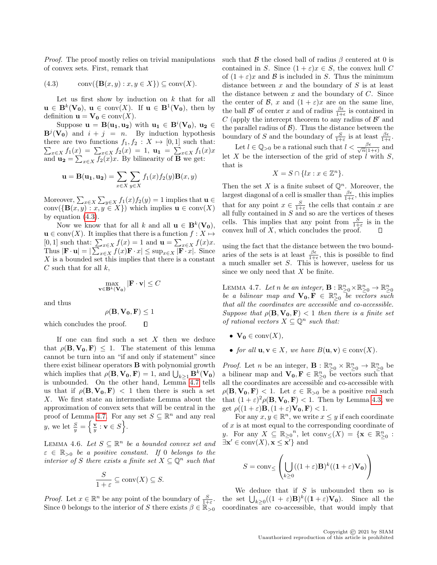Proof. The proof mostly relies on trivial manipulations of convex sets. First, remark that

<span id="page-6-0"></span>
$$
(4.3) \qquad \operatorname{conv}(\{\mathbf{B}(x,y):x,y\in X\}) \subseteq \operatorname{conv}(X).
$$

Let us first show by induction on  $k$  that for all  $\mathbf{u} \in \mathbf{B}^k(\mathbf{V_0})$ ,  $\mathbf{u} \in \text{conv}(X)$ . If  $\mathbf{u} \in \mathbf{B}^1(\mathbf{V_0})$ , then by definition  $\mathbf{u} = \mathbf{V_0} \in \text{conv}(X)$ .

Suppose  $\mathbf{u} = \mathbf{B}(\mathbf{u_1}, \mathbf{u_2})$  with  $\mathbf{u_1} \in \mathbf{B}^i(\mathbf{V_0})$ ,  $\mathbf{u_2} \in$  $\mathbf{B}^j(\mathbf{V_0})$  and  $i + j = n$ . By induction hypothesis there are two functions  $f_1, f_2 : X \mapsto [0, 1]$  such that:  $\sum_{x \in X} f_1(x) = \sum_{x \in X} f_2(x) = 1$ ,  $\mathbf{u_1} = \sum_{x \in X} f_1(x)x$ and  $\mathbf{u_2} = \sum_{x \in X} f_2(x)x$ . By bilinearity of **B** we get:

$$
\mathbf{u} = \mathbf{B}(\mathbf{u}_1, \mathbf{u}_2) = \sum_{x \in X} \sum_{y \in X} f_1(x) f_2(y) \mathbf{B}(x, y)
$$

Moreover,  $\sum_{x \in X} \sum_{y \in X} f_1(x) f_2(y) = 1$  implies that  $\mathbf{u} \in$ conv $({\bf B}(x,y): x,y \in X)$  which implies  ${\bf u} \in \text{conv}(X)$ by equation [\(4.3\)](#page-6-0).

Now we know that for all k and all  $\mathbf{u} \in \mathbf{B}^k(\mathbf{V_0}),$  $\mathbf{u} \in \text{conv}(X)$ . It implies that there is a function  $f : X \mapsto$ [0, 1] such that:  $\sum_{x \in X} f(x) = 1$  and  $\mathbf{u} = \sum_{x \in X} f(x)x$ . Thus  $|\mathbf{F} \cdot \mathbf{u}| = |\sum_{x \in X} f(x) \mathbf{F} \cdot x| \le \sup_{x \in X} |\mathbf{F} \cdot x|$ . Since  $X$  is a bounded set this implies that there is a constant  $C$  such that for all  $k$ ,

$$
\max_{\mathbf{v}\in\mathbf{B}^k(\mathbf{V_0})}|\mathbf{F}\cdot\mathbf{v}|\leq C
$$

and thus

$$
\rho(\mathbf{B},\mathbf{V_0},\mathbf{F}) \leq 1
$$

which concludes the proof.  $\Box$ 

If one can find such a set  $X$  then we deduce that  $\rho(\mathbf{B}, \mathbf{V_0}, \mathbf{F}) \leq 1$ . The statement of this lemma cannot be turn into an "if and only if statement" since there exist bilinear operators B with polynomial growth which implies that  $\rho(\mathbf{B}, \mathbf{V_0}, \mathbf{F}) = 1$ , and  $\bigcup_{k \geq 1} \mathbf{B}^k(\mathbf{V_0})$ is unbounded. On the other hand, Lemma [4.7](#page-6-1) tells us that if  $\rho(\mathbf{B}, \mathbf{V_0}, \mathbf{F})$  < 1 then there is such a set X. We first state an intermediate Lemma about the approximation of convex sets that will be central in the proof of Lemma [4.7.](#page-6-1) For any set  $S \subseteq \mathbb{R}^n$  and any real y, we let  $\frac{S}{y} = \left\{ \frac{\mathbf{v}}{y} : \mathbf{v} \in S \right\}$ .

<span id="page-6-2"></span>LEMMA 4.6. Let  $S \subseteq \mathbb{R}^n$  be a bounded convex set and  $\varepsilon \in \mathbb{R}_{>0}$  be a positive constant. If 0 belongs to the interior of S there exists a finite set  $X \subseteq \mathbb{Q}^n$  such that

$$
\frac{S}{1+\varepsilon} \subseteq \text{conv}(X) \subseteq S.
$$

Since 0 belongs to the interior of S there exists  $\beta \in \mathbb{R}_{>0}$  coordinates are co-accessible, that would imply that

such that  $\beta$  the closed ball of radius  $\beta$  centered at 0 is contained in S. Since  $(1 + \varepsilon)x \in S$ , the convex hull C of  $(1 + \varepsilon)x$  and  $\beta$  is included in S. Thus the minimum distance between  $x$  and the boundary of  $S$  is at least the distance between  $x$  and the boundary of  $C$ . Since the center of B, x and  $(1 + \varepsilon)x$  are on the same line, the ball  $\mathcal{B}'$  of center x and of radius  $\frac{\beta \epsilon}{1+\epsilon}$  is contained in C (apply the intercept theorem to any radius of  $\mathcal{B}'$  and the parallel radius of  $\mathcal{B}$ ). Thus the distance between the boundary of S and the boundary of  $\frac{S}{1+\varepsilon}$  is at least  $\frac{\beta\epsilon}{1+\varepsilon}$ .

Let  $l \in \mathbb{Q}_{>0}$  be a rational such that  $l < \frac{\beta \epsilon}{\sqrt{n}(1-\beta)}$  $\frac{\beta \epsilon}{n(1+\epsilon)}$  and let X be the intersection of the grid of step  $\ell$  with S, that is

$$
X = S \cap \{lx : x \in \mathbb{Z}^n\}.
$$

Then the set X is a finite subset of  $\mathbb{Q}^n$ . Moreover, the largest diagonal of a cell is smaller than  $\frac{\beta \epsilon}{1+\epsilon}$ , this implies that for any point  $x \in \frac{S}{1+\varepsilon}$  the cells that contain x are all fully contained in  $S$  and so are the vertices of theses cells. This implies that any point from  $\frac{S}{1+\varepsilon}$  is in the convex hull of  $X$ , which concludes the proof. П

using the fact that the distance between the two boundaries of the sets is at least  $\frac{\beta \epsilon}{1+\epsilon}$ , this is possible to find a much smaller set S. This is however, useless for us since we only need that  $X$  be finite.

<span id="page-6-1"></span>LEMMA 4.7. Let n be an integer,  $\mathbf{B}: \mathbb{R}_{\geq 0}^n \times \mathbb{R}_{\geq 0}^n \to \mathbb{R}_{\geq 0}^n$ <br>be a bilinear map and  $\mathbf{V_0}, \mathbf{F} \in \mathbb{R}_{\geq 0}^n$  be vectors such that all the coordinates are accessible and co-accessible. Suppose that  $\rho(\mathbf{B}, \mathbf{V_0}, \mathbf{F})$  < 1 then there is a finite set of rational vectors  $X \subseteq \mathbb{Q}^n$  such that:

- $V_0 \in \text{conv}(X)$ ,
- for all  $\mathbf{u}, \mathbf{v} \in X$ , we have  $B(\mathbf{u}, \mathbf{v}) \in \text{conv}(X)$ .

*Proof.* Let *n* be an integer,  $\mathbf{B} : \mathbb{R}^n_{\geq 0} \times \mathbb{R}^n_{\geq 0} \to \mathbb{R}^n_{\geq 0}$  be a bilinear map and  $\mathbf{V_0}, \mathbf{F} \in \mathbb{R}_{\geq 0}^n$  be vectors such that all the coordinates are accessible and co-accessible with  $\rho(\mathbf{B}, \mathbf{V_0}, \mathbf{F})$  < 1. Let  $\varepsilon \in \mathbb{R}_{>0}$  be a positive real such that  $(1+\varepsilon)^2 \rho(\mathbf{B}, \mathbf{V_0}, \mathbf{F}) < 1$ . Then by Lemma [4.3,](#page-5-1) we get  $\rho((1+\varepsilon)\mathbf{B},(1+\varepsilon)\mathbf{V_0},\mathbf{F}) < 1.$ 

For any  $x, y \in \mathbb{R}^n$ , we write  $x \leq y$  if each coordinate of  $x$  is at most equal to the corresponding coordinate of y. For any  $X \subseteq \mathbb{R}_{\geq 0}^n$ , let  $\text{conv}_{\leq}(X) = \{ \mathbf{x} \in \mathbb{R}_{\geq 0}^n :$  $\exists \mathbf{x}' \in \text{conv}(X), \mathbf{x} \leq \mathbf{x}'$  and

$$
S = \text{conv}_{\leq} \left( \bigcup_{k \geq 0} ((1 + \varepsilon) \mathbf{B})^k ((1 + \varepsilon) \mathbf{V_0}) \right)
$$

*Proof.* Let  $x \in \mathbb{R}^n$  be any point of the boundary of  $\frac{S}{1+\varepsilon}$ . the set  $\bigcup_{k\geq 0}((1+\varepsilon)\mathbf{B})^k((1+\varepsilon)\mathbf{V_0})$ . Since all the We deduce that if  $S$  is unbounded then so is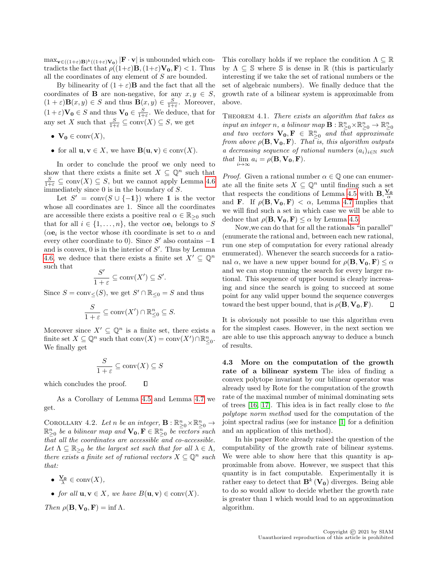$\max_{\mathbf{v} \in ((1+\varepsilon)\mathbf{B})^k((1+\varepsilon)\mathbf{V_0})} |\mathbf{F} \cdot \mathbf{v}|$  is unbounded which contradicts the fact that  $\rho((1+\varepsilon)\mathbf{B},(1+\varepsilon)\mathbf{V_0},\mathbf{F}) < 1$ . Thus all the coordinates of any element of S are bounded.

By bilinearity of  $(1 + \varepsilon)$ **B** and the fact that all the coordinates of **B** are non-negative, for any  $x, y \in S$ ,  $(1+\varepsilon)\mathbf{B}(x,y) \in S$  and thus  $\mathbf{B}(x,y) \in \frac{S}{1+\varepsilon}$ . Moreover,  $(1+\varepsilon)\mathbf{V_0} \in S$  and thus  $\mathbf{V_0} \in \frac{S}{1+\varepsilon}$ . We deduce, that for any set X such that  $\frac{S}{1+\varepsilon} \subseteq \text{conv}(X) \subseteq S$ , we get

- $V_0 \in \text{conv}(X)$ ,
- for all  $\mathbf{u}, \mathbf{v} \in X$ , we have  $\mathbf{B}(\mathbf{u}, \mathbf{v}) \in \text{conv}(X)$ .

In order to conclude the proof we only need to show that there exists a finite set  $X \subseteq \mathbb{Q}^n$  such that  $\frac{S}{1+\varepsilon} \subseteq \text{conv}(X) \subseteq S$ , but we cannot apply Lemma [4.6](#page-6-2) immediately since 0 is in the boundary of S.

Let  $S' = \text{conv}(S \cup \{-1\})$  where 1 is the vector whose all coordinates are 1. Since all the coordinates are accessible there exists a positive real  $\alpha \in \mathbb{R}_{\geq 0}$  such that for all  $i \in \{1, \ldots, n\}$ , the vector  $\alpha \mathbf{e}_i$  belongs to S  $(\alpha e_i)$  is the vector whose *i*th coordinate is set to  $\alpha$  and every other coordinate to 0). Since  $S'$  also contains  $-1$ and is convex,  $0$  is in the interior of  $S'$ . Thus by Lemma [4.6,](#page-6-2) we deduce that there exists a finite set  $X' \subseteq \mathbb{Q}^n$ such that

$$
\frac{S'}{1+\varepsilon} \subseteq \operatorname{conv}(X') \subseteq S'.
$$

Since  $S = \text{conv}_{\leq}(S)$ , we get  $S' \cap \mathbb{R}_{\leq 0} = S$  and thus

$$
\frac{S}{1+\varepsilon} \subseteq \text{conv}(X') \cap \mathbb{R}_{\leq 0}^n \subseteq S.
$$

Moreover since  $X' \subseteq \mathbb{Q}^n$  is a finite set, there exists a finite set  $X \subseteq \mathbb{Q}^n$  such that  $\text{conv}(X) = \text{conv}(X') \cap \mathbb{R}^n_{\leq 0}$ . We finally get

$$
\frac{S}{1+\varepsilon} \subseteq \operatorname{conv}(X) \subseteq S
$$

 $\Box$ which concludes the proof.

As a Corollary of Lemma [4.5](#page-5-2) and Lemma [4.7](#page-6-1) we get.

<span id="page-7-0"></span>COROLLARY 4.2. Let n be an integer,  $\mathbf{B} : \mathbb{R}_{\geq 0}^n \times \mathbb{R}_{\geq 0}^n \to$  $\mathbb{R}_{\geq 0}^n$  be a bilinear map and  $\mathbf{V_0}, \mathbf{F} \in \mathbb{R}_{\geq 0}^n$  be vectors such  $t\bar{h}at$  all the coordinates are accessible and co-accessible. Let  $\Lambda \subseteq \mathbb{R}_{\geq 0}$  be the largest set such that for all  $\lambda \in \Lambda$ , there exists a finite set of rational vectors  $X \subseteq \mathbb{Q}^n$  such that:

- $\frac{\mathbf{V_0}}{\lambda} \in \text{conv}(X),$
- for all  $\mathbf{u}, \mathbf{v} \in X$ , we have  $B(\mathbf{u}, \mathbf{v}) \in \text{conv}(X)$ .

Then  $\rho(\mathbf{B}, \mathbf{V_0}, \mathbf{F}) = \inf \Lambda$ .

This corollary holds if we replace the condition  $\Lambda \subseteq \mathbb{R}$ by  $\Lambda \subseteq \mathbb{S}$  where  $\mathbb S$  is dense in  $\mathbb R$  (this is particularly interesting if we take the set of rational numbers or the set of algebraic numbers). We finally deduce that the growth rate of a bilinear system is approximable from above.

<span id="page-7-1"></span>THEOREM 4.1. There exists an algorithm that takes as input an integer n, a bilinear map  $\mathbf{B}: \mathbb{R}_{\geq 0}^n \times \mathbb{R}_{\geq 0}^n \to \mathbb{R}_{\geq 0}^n$ and two vectors  $\mathbf{V_0}, \mathbf{F} \in \mathbb{R}_{\geq 0}^n$  and that approximate from above  $\rho(\mathbf{B}, \mathbf{V_0}, \mathbf{F})$ . That is, this algorithm outputs a decreasing sequence of rational numbers  $(a_i)_{i\in\mathbb{N}}$  such that  $\lim_{i\to\infty} a_i = \rho(\mathbf{B}, \mathbf{V_0}, \mathbf{F}).$ 

*Proof.* Given a rational number  $\alpha \in \mathbb{Q}$  one can enumerate all the finite sets  $X \subseteq \mathbb{Q}^n$  until finding such a set that respects the conditions of Lemma [4.5](#page-5-2) with  $\mathbf{B}, \frac{\mathbf{V_0}}{\alpha}$ and **F**. If  $\rho(\mathbf{B}, \mathbf{V_0}, \mathbf{F}) < \alpha$ , Lemma [4.7](#page-6-1) implies that we will find such a set in which case we will be able to deduce that  $\rho(\mathbf{B}, \mathbf{V_0}, \mathbf{F}) \leq \alpha$  by Lemma [4.5.](#page-5-2)

Now,we can do that for all the rationals "in parallel" (enumerate the rational and, between each new rational, run one step of computation for every rational already enumerated). Whenever the search succeeds for a rational  $\alpha$ , we have a new upper bound for  $\rho(\mathbf{B}, \mathbf{V_0}, \mathbf{F}) \leq \alpha$ and we can stop running the search for every larger rational. This sequence of upper bound is clearly increasing and since the search is going to succeed at some point for any valid upper bound the sequence converges toward the best upper bound, that is  $\rho(\mathbf{B}, \mathbf{V_0}, \mathbf{F})$ . П

It is obviously not possible to use this algorithm even for the simplest cases. However, in the next section we are able to use this approach anyway to deduce a bunch of results.

4.3 More on the computation of the growth rate of a bilinear system The idea of finding a convex polytope invariant by our bilinear operator was already used by Rote for the computation of the growth rate of the maximal number of minimal dominating sets of trees [\[16,](#page-18-6) [17\]](#page-18-7). This idea is in fact really close to the polytope norm method used for the computation of the joint spectral radius (see for instance [\[1\]](#page-18-12) for a definition and an application of this method).

In his paper Rote already raised the question of the computability of the growth rate of bilinear systems. We were able to show here that this quantity is approximable from above. However, we suspect that this quantity is in fact computable. Experimentally it is rather easy to detect that  $\mathbf{B}^k(\mathbf{V_0})$  diverges. Being able to do so would allow to decide whether the growth rate is greater than 1 which would lead to an approximation algorithm.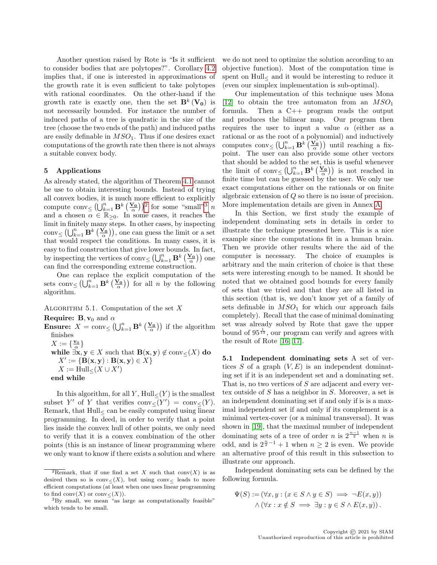Another question raised by Rote is "Is it sufficient to consider bodies that are polytopes?". Corollary [4.2](#page-7-0) implies that, if one is interested in approximations of the growth rate it is even sufficient to take polytopes with rational coordinates. On the other-hand if the growth rate is exactly one, then the set  $\mathbf{B}^k(\mathbf{V_0})$  is not necessarily bounded. For instance the number of induced paths of a tree is quadratic in the size of the tree (choose the two ends of the path) and induced paths are easily definable in  $MSO<sub>1</sub>$ . Thus if one desires exact computations of the growth rate then there is not always a suitable convex body.

# <span id="page-8-0"></span>5 Applications

As already stated, the algorithm of Theorem [4.1](#page-7-1) cannot be use to obtain interesting bounds. Instead of trying all convex bodies, it is much more efficient to explicitly compute  $\text{conv}_{\leq} \left( \bigcup_{k=1}^{n} \mathbf{B}^{k} \left( \frac{\mathbf{V}_{\mathbf{0}}}{\alpha} \right) \right)^{2}$  $\text{conv}_{\leq} \left( \bigcup_{k=1}^{n} \mathbf{B}^{k} \left( \frac{\mathbf{V}_{\mathbf{0}}}{\alpha} \right) \right)^{2}$  $\text{conv}_{\leq} \left( \bigcup_{k=1}^{n} \mathbf{B}^{k} \left( \frac{\mathbf{V}_{\mathbf{0}}}{\alpha} \right) \right)^{2}$  for some "small"<sup>[3](#page-8-2)</sup> n and a chosen  $\alpha \in \mathbb{R}_{\geq 0}$ . In some cases, it reaches the limit in finitely many steps. In other cases, by inspecting conv $\leq (\bigcup_{k=1}^n \mathbf{B}^k \left( \frac{\mathbf{V_0}}{\alpha} \right)),$  one can guess the limit or a set that would respect the conditions. In many cases, it is easy to find construction that give lower bounds. In fact, by inspecting the vertices of conv $\leq (\bigcup_{k=1}^n \mathbf{B}^k \left( \frac{\mathbf{V_0}}{\alpha} \right))$  one can find the corresponding extreme construction.

One can replace the explicit computation of the sets conv $\leq \left(\bigcup_{k=1}^{n} \mathbf{B}^k \left(\frac{\mathbf{V_0}}{\alpha}\right)\right)$  for all n by the following algorithm.

<span id="page-8-3"></span>ALGORITHM 5.1. Computation of the set  $X$ 

**Require: B**,  $v_0$  and  $\alpha$ 

```
Ensure: X = \text{conv}_{\leq} (\bigcup_{k=1}^{n} \mathbf{B}^{k} \left( \frac{\mathbf{V}_{\mathbf{0}}}{\alpha} \right)) if the algorithm
    finishes
     X:=\{\frac{\mathbf{v}_0}{\alpha}\}while \exists x, y \in X such that \mathbf{B}(x, y) \notin \text{conv}_{\leq}(X) do
          X' := \{ \mathbf{B}(\mathbf{x}, \mathbf{y}) : \mathbf{B}(\mathbf{x}, \mathbf{y}) \in X \}X := \operatorname{Hull}_{\leq}(X \cup X')
```

```
end while
```
In this algorithm, for all Y,  $Hull<(Y)$  is the smallest subset Y' of Y that verifies  $conv_{\leq}(Y') = conv_{\leq}(Y)$ . Remark, that Hull< can be easily computed using linear programming. In deed, in order to verify that a point lies inside the convex hull of other points, we only need to verify that it is a convex combination of the other points (this is an instance of linear programming where we only want to know if there exists a solution and where we do not need to optimize the solution according to an objective function). Most of the computation time is spent on  $Hull<sub>≤</sub>$  and it would be interesting to reduce it (even our simplex implementation is sub-optimal).

Our implementation of this technique uses Mona [\[12\]](#page-18-13) to obtain the tree automaton from an  $MSO<sub>1</sub>$ formula. Then a C++ program reads the output and produces the bilinear map. Our program then requires the user to input a value  $\alpha$  (either as a rational or as the root of a polynomial) and inductively computes conv $\leq (\bigcup_{k=1}^n \mathbf{B}^k \left( \frac{\mathbf{V}_0}{\alpha} \right))$  until reaching a fixpoint. The user can also provide some other vectors that should be added to the set, this is useful whenever the limit of  $conv \leq (\bigcup_{k=1}^n \mathbf{B}^k \left( \frac{\mathbf{V}_0}{\alpha} \right))$  is not reached in finite time but can be guessed by the user. We only use exact computations either on the rationals or on finite algebraic extension of Q so there is no issue of precision. More implementation details are given in Annex [A.](#page-18-14)

In this Section, we first study the example of independent dominating sets in details in order to illustrate the technique presented here. This is a nice example since the computations fit in a human brain. Then we provide other results where the aid of the computer is necessary. The choice of examples is arbitrary and the main criterion of choice is that these sets were interesting enough to be named. It should be noted that we obtained good bounds for every family of sets that we tried and that they are all listed in this section (that is, we don't know yet of a family of sets definable in  $MSO<sub>1</sub>$  for which our approach fails completely). Recall that the case of minimal dominating set was already solved by Rote that gave the upper bound of  $95^{\frac{1}{13}}$ , our program can verify and agrees with the result of Rote [\[16,](#page-18-6) [17\]](#page-18-7).

5.1 Independent dominating sets A set of vertices S of a graph  $(V, E)$  is an independent dominating set if it is an independent set and a dominating set. That is, no two vertices of S are adjacent and every vertex outside of S has a neighbor in S. Moreover, a set is an independent dominating set if and only if is is a maximal independent set if and only if its complement is a minimal vertex-cover (or a minimal transversal). It was shown in [\[19\]](#page-18-5), that the maximal number of independent dominating sets of a tree of order *n* is  $2^{\frac{n-1}{2}}$  when *n* is odd, and is  $2^{\frac{n}{2}-1}+1$  when  $n\geq 2$  is even. We provide an alternative proof of this result in this subsection to illustrate our approach.

Independent dominating sets can be defined by the following formula.

$$
\Psi(S) := (\forall x, y : (x \in S \land y \in S) \implies \neg E(x, y))
$$
  
 
$$
\land (\forall x : x \notin S \implies \exists y : y \in S \land E(x, y)).
$$

<span id="page-8-1"></span> $\sqrt[2]{2}$ Remark, that if one find a set X such that conv $(X)$  is as desired then so is conv $\langle X \rangle$ , but using conv $\langle$  leads to more efficient computations (at least when one uses linear programming to find  $\operatorname{conv}({\cal X})$  or  $\operatorname{conv}_{\leq}({\cal X})).$ 

<span id="page-8-2"></span><sup>&</sup>lt;sup>3</sup>By small, we mean "as large as computationally feasible" which tends to be small.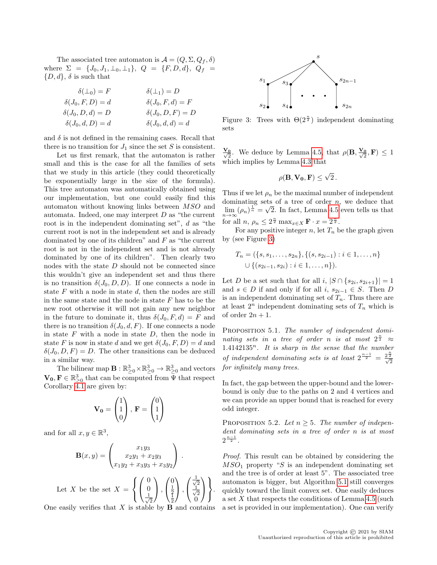The associated tree automaton is  $\mathcal{A} = (Q, \Sigma, Q_f, \delta)$ where  $\Sigma = \{J_0, J_1, \perp_0, \perp_1\}, Q = \{F, D, d\}, Q_f =$  $\{D, d\}, \delta$  is such that

$$
\delta(\bot_0) = F
$$
  
\n
$$
\delta(\bot_0) = F
$$
  
\n
$$
\delta(J_0, F, D) = d
$$
  
\n
$$
\delta(J_0, D, d) = D
$$
  
\n
$$
\delta(J_0, D, F) = D
$$
  
\n
$$
\delta(J_0, D, F) = D
$$
  
\n
$$
\delta(J_0, d, d) = d
$$

and  $\delta$  is not defined in the remaining cases. Recall that there is no transition for  $J_1$  since the set S is consistent.

Let us first remark, that the automaton is rather small and this is the case for all the families of sets that we study in this article (they could theoretically be exponentially large in the size of the formula). This tree automaton was automatically obtained using our implementation, but one could easily find this automaton without knowing links between MSO and automata. Indeed, one may interpret  $D$  as "the current root is in the independent dominating set", d as "the current root is not in the independent set and is already dominated by one of its children" and  $F$  as "the current" root is not in the independent set and is not already dominated by one of its children". Then clearly two nodes with the state  $D$  should not be connected since this wouldn't give an independent set and thus there is no transition  $\delta(J_0, D, D)$ . If one connects a node in state  $F$  with a node in state  $d$ , then the nodes are still in the same state and the node in state  $F$  has to be the new root otherwise it will not gain any new neighbor in the future to dominate it, thus  $\delta(J_0, F, d) = F$  and there is no transition  $\delta(J_0, d, F)$ . If one connects a node in state  $F$  with a node in state  $D$ , then the node in state F is now in state d and we get  $\delta(J_0, F, D) = d$  and  $\delta(J_0, D, F) = D$ . The other transitions can be deduced in a similar way.

The bilinear map  $\mathbf{B} : \mathbb{R}^3_{\geq 0} \times \mathbb{R}^3_{\geq 0} \to \mathbb{R}^3_{\geq 0}$  and vectors  $\mathbf{V_0}, \mathbf{F} \in \mathbb{R}^3_{\geq 0}$  that can be computed from  $\bar{\Psi}$  that respect Corollary  $\overline{4.1}$  are given by:

$$
\mathbf{V_0} = \begin{pmatrix} 1 \\ 1 \\ 0 \end{pmatrix}, \ \mathbf{F} = \begin{pmatrix} 0 \\ 1 \\ 1 \end{pmatrix}
$$

and for all  $x, y \in \mathbb{R}^3$ ,

$$
\mathbf{B}(x,y) = \begin{pmatrix} x_1y_3 \\ x_2y_1 + x_2y_3 \\ x_1y_2 + x_3y_3 + x_3y_2 \end{pmatrix}.
$$

Let X be the set 
$$
X = \left\{ \begin{pmatrix} 0 \\ 0 \\ \frac{1}{\sqrt{2}} \end{pmatrix}, \begin{pmatrix} 0 \\ \frac{1}{2} \\ \frac{1}{2} \end{pmatrix}, \begin{pmatrix} \frac{1}{\sqrt{2}} \\ \frac{1}{\sqrt{2}} \\ 0 \end{pmatrix} \right\}.
$$

One easily verifies that  $X$  is stable by  $\bf{B}$  and contains

<span id="page-9-0"></span>

Figure 3: Trees with  $\Theta(2^{\frac{n}{2}})$  independent dominating sets

 $\frac{\mathbf{V_0}}{\sqrt{2}}$ . We deduce by Lemma [4.5,](#page-5-2) that  $\rho(\mathbf{B}, \frac{\mathbf{V_0}}{\sqrt{2}}, \mathbf{F}) \leq 1$ which implies by Lemma [4.3](#page-5-1) that

$$
\rho(\mathbf{B}, \mathbf{V_0}, \mathbf{F}) \le \sqrt{2} \, .
$$

Thus if we let  $\rho_n$  be the maximal number of independent dominating sets of a tree of order *n*, we deduce that  $\lim_{n\to\infty} (\rho_n)^{\frac{1}{n}} = \sqrt{2}$ . In fact, Lemma [4.5](#page-5-2) even tells us that for all  $n, \rho_n \leq 2^{\frac{n}{2}} \max_{x \in X} \mathbf{F} \cdot x = 2^{\frac{n}{2}}$ .

For any positive integer n, let  $T_n$  be the graph given by (see Figure [3\)](#page-9-0)

$$
T_n = (\{s, s_1, \ldots, s_{2n}\}, \{(s, s_{2i-1}) : i \in 1, \ldots, n\} \cup \{(s_{2i-1}, s_{2i}) : i \in 1, \ldots, n\}).
$$

Let *D* be a set such that for all  $i, |S \cap \{s_{2i}, s_{2i+1}\}| = 1$ and  $s \in D$  if and only if for all i,  $s_{2i-1} \in S$ . Then D is an independent dominating set of  $T_n$ . Thus there are at least  $2^n$  independent dominating sets of  $T_n$  which is of order  $2n + 1$ .

PROPOSITION 5.1. The number of independent dominating sets in a tree of order n is at most  $2^{\frac{n}{2}} \approx$  $1.4142135^n$ . It is sharp in the sense that the number of independent dominating sets is at least  $2^{\frac{n-1}{2}} = \frac{2^{\frac{n}{2}}}{\sqrt{2}}$ for infinitely many trees.

In fact, the gap between the upper-bound and the lowerbound is only due to the paths on 2 and 4 vertices and we can provide an upper bound that is reached for every odd integer.

PROPOSITION 5.2. Let  $n \geq 5$ . The number of independent dominating sets in a tree of order n is at most  $2^{\frac{n-1}{2}}$ .

Proof. This result can be obtained by considering the  $MSO<sub>1</sub>$  property "S is an independent dominating set and the tree is of order at least 5". The associated tree automaton is bigger, but Algorithm [5.1](#page-8-3) still converges quickly toward the limit convex set. One easily deduces a set  $X$  that respects the conditions of Lemma [4.5](#page-5-2) (such a set is provided in our implementation). One can verify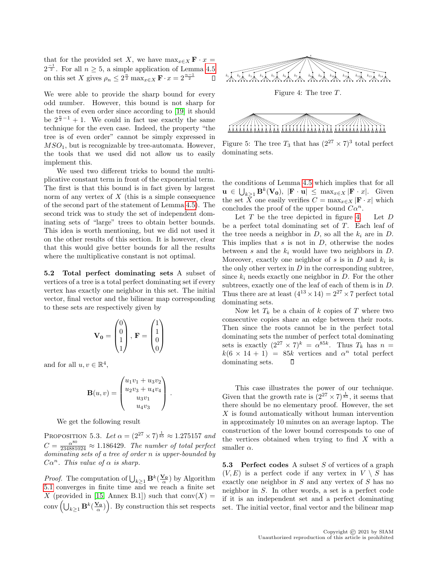that for the provided set X, we have  $\max_{x \in X} \mathbf{F} \cdot x =$  $2^{\frac{-1}{2}}$ . For all  $n \geq 5$ , a simple application of Lemma [4.5](#page-5-2) on this set X gives  $\rho_n \leq 2^{\frac{n}{2}} \max_{x \in X} \mathbf{F} \cdot x = 2^{\frac{n-1}{2}}$  $\Box$ 

We were able to provide the sharp bound for every odd number. However, this bound is not sharp for the trees of even order since according to [\[19\]](#page-18-5) it should be  $2^{\frac{n}{2}-1}+1$ . We could in fact use exactly the same technique for the even case. Indeed, the property "the tree is of even order" cannot be simply expressed in  $MSO<sub>1</sub>$ , but is recognizable by tree-automata. However, the tools that we used did not allow us to easily implement this.

We used two different tricks to bound the multiplicative constant term in front of the exponential term. The first is that this bound is in fact given by largest norm of any vertex of  $X$  (this is a simple consequence of the second part of the statement of Lemma [4.5\)](#page-5-2). The second trick was to study the set of independent dominating sets of "large" trees to obtain better bounds. This idea is worth mentioning, but we did not used it on the other results of this section. It is however, clear that this would give better bounds for all the results where the multiplicative constant is not optimal.

5.2 Total perfect dominating sets A subset of vertices of a tree is a total perfect dominating set if every vertex has exactly one neighbor in this set. The initial vector, final vector and the bilinear map corresponding to these sets are respectively given by

$$
\mathbf{V_0} = \begin{pmatrix} 0 \\ 0 \\ 1 \\ 1 \end{pmatrix}, \ \mathbf{F} = \begin{pmatrix} 1 \\ 1 \\ 0 \\ 0 \end{pmatrix}
$$

and for all  $u, v \in \mathbb{R}^4$ ,

$$
\mathbf{B}(u,v) = \begin{pmatrix} u_1v_1 + u_3v_2 \\ u_2v_3 + u_4v_4 \\ u_3v_1 \\ u_4v_3 \end{pmatrix}.
$$

We get the following result

PROPOSITION 5.3. Let  $\alpha = (2^{27} \times 7)^{\frac{1}{85}} \approx 1.275157$  and  $C = \frac{\alpha^{80}}{234881024} \approx 1.186429$ . The number of total perfect dominating sets of a tree of order n is upper-bounded by  $C\alpha^n$ . This value of  $\alpha$  is sharp.

*Proof.* The computation of  $\bigcup_{k\geq 1} \mathbf{B}^k(\frac{\mathbf{V_0}}{\alpha})$  by Algorithm [5.1](#page-8-3) converges in finite time and we reach a finite set X (provided in [\[15,](#page-18-15) Annex B.1]) such that  $conv(X) =$ conv $\left(\bigcup_{k\geq 1} \mathbf{B}^k(\frac{\mathbf{V_0}}{\alpha})\right)$ . By construction this set respects

<span id="page-10-0"></span>



Figure 5: The tree  $T_3$  that has  $(2^{27} \times 7)^3$  total perfect dominating sets.

the conditions of Lemma [4.5](#page-5-2) which implies that for all  $\mathbf{u} \in \bigcup_{k \geq 1} \mathbf{B}^k(\mathbf{V_0}), \; |\mathbf{F} \cdot \mathbf{u}| \leq \max_{x \in X} |\mathbf{F} \cdot x|.$  Given the set  $\overline{X}$  one easily verifies  $C = \max_{x \in X} |\mathbf{F} \cdot x|$  which concludes the proof of the upper bound  $C\alpha^n$ .

Let  $T$  be the tree depicted in figure [4.](#page-10-0) Let  $D$ be a perfect total dominating set of  $T$ . Each leaf of the tree needs a neighbor in  $D$ , so all the  $k_i$  are in  $D$ . This implies that  $s$  is not in  $D$ , otherwise the nodes between  $s$  and the  $k_i$  would have two neighbors in  $D$ . Moreover, exactly one neighbor of  $s$  is in  $D$  and  $k_i$  is the only other vertex in  $D$  in the corresponding subtree, since  $k_i$  needs exactly one neighbor in D. For the other subtrees, exactly one of the leaf of each of them is in D. Thus there are at least  $(4^{13} \times 14) = 2^{27} \times 7$  perfect total dominating sets.

Now let  $T_k$  be a chain of k copies of T where two consecutive copies share an edge between their roots. Then since the roots cannot be in the perfect total dominating sets the number of perfect total dominating sets is exactly  $(2^{27} \times 7)^k = \alpha^{85k}$ . Thus  $T_k$  has  $n =$  $k(6 \times 14 + 1) = 85k$  vertices and  $\alpha^n$  total perfect dominating sets.  $\Box$ 

This case illustrates the power of our technique. Given that the growth rate is  $(2^{27} \times 7)^{\frac{1}{85}}$ , it seems that there should be no elementary proof. However, the set X is found automatically without human intervention in approximately 10 minutes on an average laptop. The construction of the lower bound corresponds to one of the vertices obtained when trying to find  $X$  with a smaller  $\alpha$ .

**5.3** Perfect codes A subset S of vertices of a graph  $(V, E)$  is a perfect code if any vertex in  $V \setminus S$  has exactly one neighbor in S and any vertex of S has no neighbor in S. In other words, a set is a perfect code if it is an independent set and a perfect dominating set. The initial vector, final vector and the bilinear map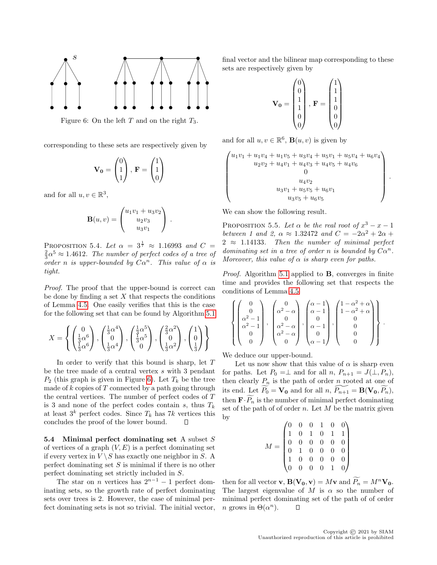<span id="page-11-0"></span>

Figure 6: On the left  $T$  and on the right  $T_3$ .

corresponding to these sets are respectively given by

$$
\mathbf{V_0} = \begin{pmatrix} 0 \\ 1 \\ 1 \end{pmatrix}, \ \mathbf{F} = \begin{pmatrix} 1 \\ 1 \\ 0 \end{pmatrix}
$$

and for all  $u, v \in \mathbb{R}^3$ ,

$$
\mathbf{B}(u,v) = \begin{pmatrix} u_1v_1 + u_3v_2 \\ u_2v_3 \\ u_3v_1 \end{pmatrix} .
$$

PROPOSITION 5.4. Let  $\alpha = 3^{\frac{1}{7}} \approx 1.16993$  and  $C =$  $\frac{2}{3} \alpha^5 \approx 1.4612$ . The number of perfect codes of a tree of order n is upper-bounded by  $C\alpha^n$ . This value of  $\alpha$  is tight.

Proof. The proof that the upper-bound is correct can be done by finding a set  $X$  that respects the conditions of Lemma [4.5.](#page-5-2) One easily verifies that this is the case for the following set that can be found by Algorithm [5.1](#page-8-3)

$$
X = \left\{ \begin{pmatrix} 0 \\ \frac{1}{3}\alpha^6 \\ \frac{1}{3}\alpha^6 \end{pmatrix}, \begin{pmatrix} \frac{1}{3}\alpha^4 \\ 0 \\ \frac{1}{3}\alpha^4 \end{pmatrix}, \begin{pmatrix} \frac{1}{3}\alpha^5 \\ \frac{1}{3}\alpha^5 \\ 0 \end{pmatrix}, \begin{pmatrix} \frac{2}{3}\alpha^2 \\ 0 \\ \frac{1}{3}\alpha^2 \end{pmatrix}, \begin{pmatrix} 1 \\ 0 \\ \frac{1}{3} \end{pmatrix} \right\}
$$

In order to verify that this bound is sharp, let  $T$ be the tree made of a central vertex  $s$  with 3 pendant  $P_2$  (this graph is given in Figure [6\)](#page-11-0). Let  $T_k$  be the tree made of  $k$  copies of  $T$  connected by a path going through the central vertices. The number of perfect codes of T is 3 and none of the perfect codes contain  $s$ , thus  $T_k$ at least  $3^k$  perfect codes. Since  $T_k$  has 7k vertices this concludes the proof of the lower bound.  $\Box$ 

5.4 Minimal perfect dominating set A subset  $S$ of vertices of a graph  $(V, E)$  is a perfect dominating set if every vertex in  $V \setminus S$  has exactly one neighbor in S. A perfect dominating set  $S$  is minimal if there is no other perfect dominating set strictly included in S.

The star on *n* vertices has  $2^{n-1} - 1$  perfect dominating sets, so the growth rate of perfect dominating sets over trees is 2. However, the case of minimal perfect dominating sets is not so trivial. The initial vector,

final vector and the bilinear map corresponding to these sets are respectively given by

$$
\mathbf{V_0} = \begin{pmatrix} 0 \\ 0 \\ 1 \\ 1 \\ 0 \\ 0 \end{pmatrix}, \ \mathbf{F} = \begin{pmatrix} 1 \\ 1 \\ 1 \\ 0 \\ 0 \\ 0 \end{pmatrix}
$$

and for all  $u, v \in \mathbb{R}^6$ ,  $\mathbf{B}(u, v)$  is given by

$$
\begin{pmatrix}\nu_1v_1 + u_1v_4 + u_1v_5 + u_3v_4 + u_5v_1 + u_5v_4 + u_6v_4 \\
u_2v_2 + u_4v_1 + u_4v_3 + u_4v_5 + u_4v_6 \\
0 \\
u_4v_2 \\
u_3v_1 + u_5v_5 + u_6v_1 \\
u_3v_5 + u_6v_5\n\end{pmatrix}.
$$

<span id="page-11-1"></span>We can show the following result.

PROPOSITION 5.5. Let  $\alpha$  be the real root of  $x^3 - x - 1$ between 1 and 2,  $\alpha \approx 1.32472$  and  $C = -2\alpha^2 + 2\alpha +$  $2 \approx 1.14133$ . Then the number of minimal perfect dominating set in a tree of order n is bounded by  $C\alpha^n$ . Moreover, this value of  $\alpha$  is sharp even for paths.

Proof. Algorithm [5.1](#page-8-3) applied to **B**, converges in finite time and provides the following set that respects the conditions of Lemma [4.5](#page-5-2)

$$
\left\{\begin{pmatrix}0\\0\\ \alpha^2-1\\ \alpha^2-1\\0\\0\end{pmatrix},\begin{pmatrix}0\\ \alpha^2-\alpha\\0\\ \alpha^2-\alpha\\ \alpha^2-\alpha\\0\\0\end{pmatrix},\begin{pmatrix}\alpha-1\\ \alpha-1\\0\\ \alpha-1\\ \alpha-1\\ \alpha-1\end{pmatrix},\begin{pmatrix}1-\alpha^2+\alpha\\1-\alpha^2+\alpha\\0\\0\\0\\0\end{pmatrix}\right\}.
$$

We deduce our upper-bound.

Let us now show that this value of  $\alpha$  is sharp even for paths. Let  $P_0 = \perp$  and for all  $n, P_{n+1} = J(\perp, P_n)$ , then clearly  $P_n$  is the path of order n rooted at one of its end. Let  $P_0 = V_0$  and for all  $n, P_{n+1} = B(V_0, P_n)$ , then  $\mathbf{F} \cdot \widetilde{P_n}$  is the number of minimal perfect dominating set of the path of of order  $n$ . Let  $M$  be the matrix given by

$$
M = \begin{pmatrix} 0 & 0 & 0 & 1 & 0 & 0 \\ 1 & 0 & 1 & 0 & 1 & 1 \\ 0 & 0 & 0 & 0 & 0 & 0 \\ 0 & 1 & 0 & 0 & 0 & 0 \\ 1 & 0 & 0 & 0 & 0 & 0 \\ 0 & 0 & 0 & 0 & 1 & 0 \end{pmatrix}
$$

then for all vector **v**,  $\mathbf{B}(\mathbf{V_0}, \mathbf{v}) = M\mathbf{v}$  and  $\widetilde{P_n} = M^n \mathbf{V_0}$ . The largest eigenvalue of M is  $\alpha$  so the number of minimal perfect dominating set of the path of of order *n* grows in  $\Theta(\alpha^n)$ . П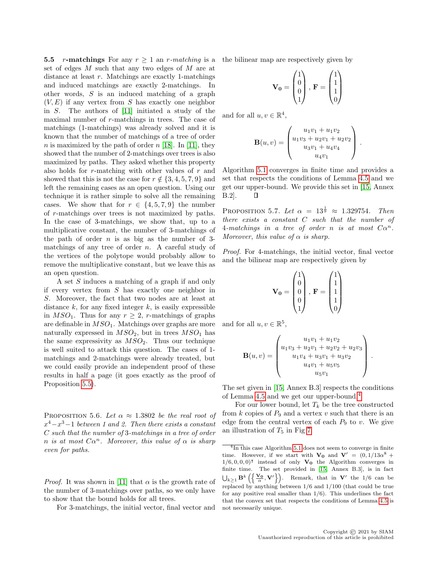5.5 r-matchings For any  $r > 1$  an r-matching is a set of edges M such that any two edges of M are at distance at least r. Matchings are exactly 1-matchings and induced matchings are exactly 2-matchings. In other words, S is an induced matching of a graph  $(V, E)$  if any vertex from S has exactly one neighbor in S. The authors of [\[11\]](#page-18-10) initiated a study of the maximal number of r-matchings in trees. The case of matchings (1-matchings) was already solved and it is known that the number of matchings of a tree of order n is maximized by the path of order  $n$  [\[18\]](#page-18-16). In [\[11\]](#page-18-10), they showed that the number of 2-matchings over trees is also maximized by paths. They asked whether this property also holds for  $r$ -matching with other values of  $r$  and showed that this is not the case for  $r \notin \{3, 4, 5, 7, 9\}$  and left the remaining cases as an open question. Using our technique it is rather simple to solve all the remaining cases. We show that for  $r \in \{4, 5, 7, 9\}$  the number of r-matchings over trees is not maximized by paths. In the case of 3-matchings, we show that, up to a multiplicative constant, the number of 3-matchings of the path of order  $n$  is as big as the number of 3matchings of any tree of order  $n$ . A careful study of the vertices of the polytope would probably allow to remove the multiplicative constant, but we leave this as an open question.

A set S induces a matching of a graph if and only if every vertex from S has exactly one neighbor in S. Moreover, the fact that two nodes are at least at distance  $k$ , for any fixed integer  $k$ , is easily expressible in  $MSO_1$ . Thus for any  $r \geq 2$ , r-matchings of graphs are definable in  $MSO<sub>1</sub>$ . Matchings over graphs are more naturally expressed in  $MSO<sub>2</sub>$ , but in trees  $MSO<sub>1</sub>$  has the same expressivity as  $MSO<sub>2</sub>$ . Thus our technique is well suited to attack this question. The cases of 1 matchings and 2-matchings were already treated, but we could easily provide an independent proof of these results in half a page (it goes exactly as the proof of Proposition [5.5\)](#page-11-1).

PROPOSITION 5.6. Let  $\alpha \approx 1.3802$  be the real root of  $x^4 - x^3 - 1$  between 1 and 2. Then there exists a constant C such that the number of 3-matchings in a tree of order n is at most  $C\alpha^n$ . Moreover, this value of  $\alpha$  is sharp even for paths.

*Proof.* It was shown in [\[11\]](#page-18-10) that  $\alpha$  is the growth rate of the number of 3-matchings over paths, so we only have to show that the bound holds for all trees.

For 3-matchings, the initial vector, final vector and

the bilinear map are respectively given by

$$
\mathbf{V_0} = \begin{pmatrix} 1 \\ 0 \\ 0 \\ 1 \end{pmatrix}, \ \mathbf{F} = \begin{pmatrix} 1 \\ 1 \\ 1 \\ 0 \end{pmatrix}
$$

and for all  $u, v \in \mathbb{R}^4$ ,

$$
\mathbf{B}(u,v) = \begin{pmatrix} u_1v_1 + u_1v_2 \\ u_1v_3 + u_2v_1 + u_2v_2 \\ u_3v_1 + u_4v_4 \\ u_4v_1 \end{pmatrix}.
$$

Algorithm [5.1](#page-8-3) converges in finite time and provides a set that respects the conditions of Lemma [4.5](#page-5-2) and we get our upper-bound. We provide this set in [\[15,](#page-18-15) Annex B.2].  $\Box$ 

<span id="page-12-1"></span>PROPOSITION 5.7. Let  $\alpha = 13^{\frac{1}{9}} \approx 1.329754$ . Then there exists a constant  $C$  such that the number of 4-matchings in a tree of order n is at most  $C\alpha^n$ . Moreover, this value of  $\alpha$  is sharp.

Proof. For 4-matchings, the initial vector, final vector and the bilinear map are respectively given by

$$
\mathbf{V_0} = \begin{pmatrix} 1 \\ 0 \\ 0 \\ 0 \\ 1 \end{pmatrix}, \ \mathbf{F} = \begin{pmatrix} 1 \\ 1 \\ 1 \\ 1 \\ 0 \end{pmatrix}
$$

and for all  $u, v \in \mathbb{R}^5$ ,

$$
\mathbf{B}(u,v) = \begin{pmatrix} u_1v_1 + u_1v_2 \\ u_1v_3 + u_2v_1 + u_2v_2 + u_2v_3 \\ u_1v_4 + u_3v_1 + u_3v_2 \\ u_4v_1 + u_5v_5 \\ u_5v_1 \end{pmatrix}.
$$

The set given in [\[15,](#page-18-15) Annex B.3] respects the conditions of Lemma [4.5](#page-5-2) and we get our upper-bound.[4](#page-12-0)

For our lower bound, let  $T_k$  be the tree constructed from k copies of  $P_9$  and a vertex v such that there is an edge from the central vertex of each  $P_9$  to v. We give an illustration of  $T_5$  in Fig [7.](#page-13-0)

<span id="page-12-0"></span> $\frac{4 \text{In this case Algorithm 5.1 does not seem to converge in finite}}{4 \text{.}}$  $\frac{4 \text{In this case Algorithm 5.1 does not seem to converge in finite}}{4 \text{.}}$  $\frac{4 \text{In this case Algorithm 5.1 does not seem to converge in finite}}{4 \text{.}}$ time. However, if we start with  $V_0$  and  $V' = (0, 1/13\alpha^8 +$  $1/6, 0, 0, 0)$ <sup>T</sup> instead of only  $V_0$  the Algorithm converges in finite time. The set provided in [\[15,](#page-18-15) Annex B.3], is in fact  $\bigcup_{k\geq 1} \mathbf{B}^k\left(\left\{\frac{\mathbf{V_0}}{\alpha},\mathbf{V}'\right\}\right)$ . Remark, that in  $\mathbf{V}'$  the 1/6 can be replaced by anything between 1/6 and 1/100 (that could be true for any positive real smaller than  $1/6$ ). This underlines the fact that the convex set that respects the conditions of Lemma [4.5](#page-5-2) is not necessarily unique.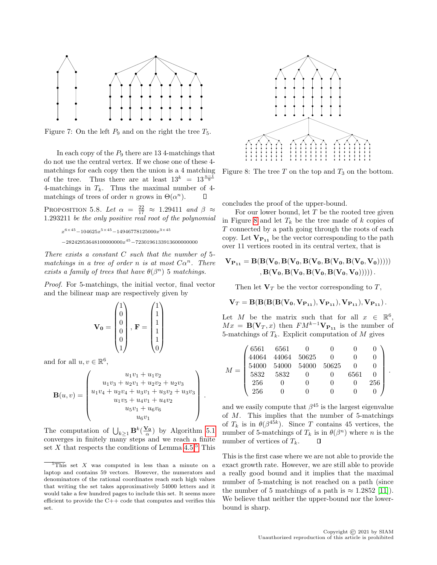<span id="page-13-0"></span>

Figure 7: On the left  $P_9$  and on the right the tree  $T_5$ .

In each copy of the  $P_9$  there are 13 4-matchings that do not use the central vertex. If we chose one of these 4 matchings for each copy then the union is a 4 matching of the tree. Thus there are at least  $13^k = 13^{\frac{n-1}{9}}$ 4-matchings in  $T_k$ . Thus the maximal number of 4matchings of trees of order *n* grows in  $\Theta(\alpha^n)$ .

<span id="page-13-3"></span>PROPOSITION 5.8. Let  $\alpha = \frac{22}{17} \approx 1.29411$  and  $\beta \approx$ 1.293211 be the only positive real root of the polynomial

$$
\begin{array}{l} x^{6\times 45}-104625x^{5\times 45}-14946778125000x^{3\times 45}\\ -28242953648100000000x^{45}-7230196133913600000000 \end{array}
$$

There exists a constant  $C$  such that the number of 5matchings in a tree of order n is at most  $C\alpha^n$ . There exists a family of trees that have  $\theta(\beta^n)$  5 matchings.

Proof. For 5-matchings, the initial vector, final vector and the bilinear map are respectively given by

$$
\mathbf{V_0} = \begin{pmatrix} 1 \\ 0 \\ 0 \\ 0 \\ 0 \\ 1 \end{pmatrix}, \ \mathbf{F} = \begin{pmatrix} 1 \\ 1 \\ 1 \\ 1 \\ 1 \\ 0 \end{pmatrix}
$$

and for all  $u, v \in \mathbb{R}^6$ ,

$$
\mathbf{B}(u,v) = \begin{pmatrix} u_1v_1 + u_1v_2 \\ u_1v_3 + u_2v_1 + u_2v_2 + u_2v_3 \\ u_1v_4 + u_2v_4 + u_3v_1 + u_3v_2 + u_3v_3 \\ u_1v_5 + u_4v_1 + u_4v_2 \\ u_5v_1 + u_6v_6 \\ u_6v_1 \end{pmatrix}.
$$

The computation of  $\bigcup_{k\geq 1} \mathbf{B}^k(\frac{\mathbf{V_0}}{\alpha})$  by Algorithm [5.1](#page-8-3) converges in finitely many steps and we reach a finite set  $X$  that respects the conditions of Lemma [4.5.](#page-5-2)<sup>[5](#page-13-1)</sup> This

<span id="page-13-2"></span>

Figure 8: The tree  $T$  on the top and  $T_3$  on the bottom.

concludes the proof of the upper-bound.

For our lower bound, let  $T$  be the rooted tree given in Figure [8](#page-13-2) and let  $T_k$  be the tree made of k copies of T connected by a path going through the roots of each copy. Let  $V_{P_{11}}$  be the vector corresponding to the path over 11 vertices rooted in its central vertex, that is

$$
V_{P_{11}} = B(B(V_0, B(V_0, B(V_0, B(V_0, B(V_0, V_0))))))
$$
  
, 
$$
B(V_0, B(V_0, B(V_0, B(V_0, V_0))))).
$$

Then let  $V_T$  be the vector corresponding to T,

$$
{\bf V}_T={\bf B}({\bf B}({\bf B}({\bf V_0},{\bf V_{P_{11}}}),{\bf V_{P_{11}}}),{\bf V_{P_{11}}}),{\bf V_{P_{11}}})\,.
$$

Let M be the matrix such that for all  $x \in \mathbb{R}^6$ ,  $Mx = \mathbf{B}(\mathbf{V}_T, x)$  then  $FM^{k-1}\mathbf{V}_{\mathbf{P}_{11}}$  is the number of 5-matchings of  $T_k$ . Explicit computation of M gives

|  | 6561  |                                                                                                             |      |     |  |
|--|-------|-------------------------------------------------------------------------------------------------------------|------|-----|--|
|  | 44064 |                                                                                                             |      |     |  |
|  | 54000 | $\begin{array}{ccc} 6561 & 0 & 0 \\ 44064 & 50625 & 0 \\ 54000 & 54000 & 50625 \\ 5832 & 0 & 0 \end{array}$ |      |     |  |
|  | 5832  |                                                                                                             | 6561 |     |  |
|  | -256  |                                                                                                             |      | 256 |  |
|  | 256   |                                                                                                             |      |     |  |

and we easily compute that  $\beta^{45}$  is the largest eigenvalue of  $M$ . This implies that the number of 5-matchings of  $T_k$  is in  $\theta(\beta^{45k})$ . Since T contains 45 vertices, the number of 5-matchings of  $T_k$  is in  $\theta(\beta^n)$  where *n* is the number of vertices of  $T_k$ . П

This is the first case where we are not able to provide the exact growth rate. However, we are still able to provide a really good bound and it implies that the maximal number of 5-matching is not reached on a path (since the number of 5 matchings of a path is  $\approx 1.2852$  [\[11\]](#page-18-10)). We believe that neither the upper-bound nor the lowerbound is sharp.

<span id="page-13-1"></span> $\sqrt[5]{\text{This}}$  set X was computed in less than a minute on a laptop and contains 59 vectors. However, the numerators and denominators of the rational coordinates reach such high values that writing the set takes approximatively 54000 letters and it would take a few hundred pages to include this set. It seems more efficient to provide the C++ code that computes and verifies this set.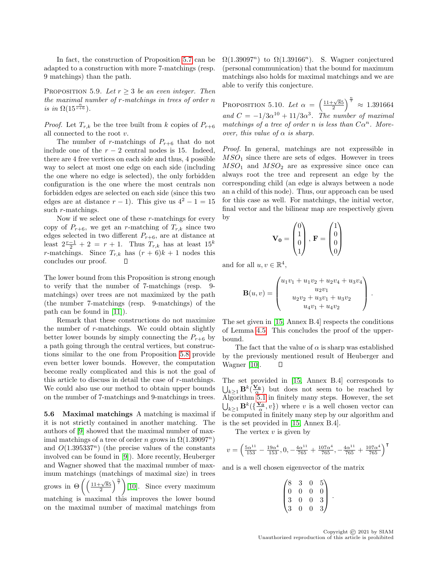In fact, the construction of Proposition [5.7](#page-12-1) can be adapted to a construction with more 7-matchings (resp. 9 matchings) than the path.

PROPOSITION 5.9. Let  $r \geq 3$  be an even integer. Then the maximal number of r-matchings in trees of order n is in  $\Omega(15^{\frac{n}{r+6}})$ .

*Proof.* Let  $T_{r,k}$  be the tree built from k copies of  $P_{r+6}$ all connected to the root  $v$ .

The number of r-matchings of  $P_{r+6}$  that do not include one of the  $r - 2$  central nodes is 15. Indeed, there are 4 free vertices on each side and thus, 4 possible way to select at most one edge on each side (including the one where no edge is selected), the only forbidden configuration is the one where the most centrals non forbidden edges are selected on each side (since this two edges are at distance  $r - 1$ ). This give us  $4^2 - 1 = 15$ such r-matchings.

Now if we select one of these  $r$ -matchings for every copy of  $P_{r+6}$ , we get an r-matching of  $T_{r,k}$  since two edges selected in two different  $P_{r+6}$ , are at distance at least  $2\frac{r-1}{2} + 2 = r + 1$ . Thus  $T_{r,k}$  has at least  $15^k$ r-matchings. Since  $T_{r,k}$  has  $(r+6)k+1$  nodes this concludes our proof. П

The lower bound from this Proposition is strong enough to verify that the number of 7-matchings (resp. 9 matchings) over trees are not maximized by the path (the number 7-matchings (resp. 9-matchings) of the path can be found in [\[11\]](#page-18-10)).

Remark that these constructions do not maximize the number of r-matchings. We could obtain slightly better lower bounds by simply connecting the  $P_{r+6}$  by a path going through the central vertices, but constructions similar to the one from Proposition [5.8](#page-13-3) provide even better lower bounds. However, the computation become really complicated and this is not the goal of this article to discuss in detail the case of r-matchings. We could also use our method to obtain upper bounds on the number of 7-matchings and 9-matchings in trees.

5.6 Maximal matchings A matching is maximal if it is not strictly contained in another matching. The authors of [\[9\]](#page-18-17) showed that the maximal number of maximal matchings of a tree of order n grows in  $\Omega(1.39097^n)$ and  $O(1.395337^n)$  (the precise values of the constants involved can be found in [\[9\]](#page-18-17)). More recently, Heuberger and Wagner showed that the maximal number of maximum matchings (matchings of maximal size) in trees grows in  $\Theta\left(\left(\frac{11+\sqrt{85}}{2}\right)^{\frac{n}{7}}\right)$ [\[10\]](#page-18-18). Since every maximum matching is maximal this improves the lower bound on the maximal number of maximal matchings from  $\Omega(1.39097^n)$  to  $\Omega(1.39166^n)$ . S. Wagner conjectured (personal communication) that the bound for maximum matchings also holds for maximal matchings and we are able to verify this conjecture.

PROPOSITION 5.10. Let  $\alpha = \left(\frac{11+\sqrt{85}}{2}\right)^{\frac{n}{7}} \approx 1.391664$ and  $C = -1/3\alpha^{10} + 11/3\alpha^3$ . The number of maximal matchings of a tree of order n is less than  $C\alpha^n$ . Moreover, this value of  $\alpha$  is sharp.

Proof. In general, matchings are not expressible in  $MSO<sub>1</sub>$  since there are sets of edges. However in trees  $MSO<sub>1</sub>$  and  $MSO<sub>2</sub>$  are as expressive since once can always root the tree and represent an edge by the corresponding child (an edge is always between a node an a child of this node). Thus, our approach can be used for this case as well. For matchings, the initial vector, final vector and the bilinear map are respectively given by

$$
\mathbf{V_0} = \begin{pmatrix} 0 \\ 1 \\ 0 \\ 1 \end{pmatrix}, \ \mathbf{F} = \begin{pmatrix} 1 \\ 0 \\ 0 \\ 0 \end{pmatrix}
$$

and for all  $u, v \in \mathbb{R}^4$ ,

$$
\mathbf{B}(u,v) = \begin{pmatrix} u_1v_1 + u_1v_2 + u_2v_4 + u_3v_4 \\ u_2v_1 \\ u_2v_2 + u_3v_1 + u_3v_2 \\ u_4v_1 + u_4v_2 \end{pmatrix}.
$$

The set given in [\[15,](#page-18-15) Annex B.4] respects the conditions of Lemma [4.5.](#page-5-2) This concludes the proof of the upperbound.

The fact that the value of  $\alpha$  is sharp was established by the previously mentioned result of Heuberger and Wagner [\[10\]](#page-18-18).  $\Box$ 

The set provided in [\[15,](#page-18-15) Annex B.4] corresponds to  $\bigcup_{k\geq 1} \mathbf{B}^k(\frac{\mathbf{V_0}}{\alpha})$  but does not seem to be reached by Algorithm [5.1](#page-8-3) in finitely many steps. However, the set  $\bigcup_{k\geq 1} \mathbf{B}^k(\{\frac{\mathbf{V_0}}{\alpha}, v\})$  where v is a well chosen vector can be computed in finitely many step by our algorithm and is the set provided in [\[15,](#page-18-15) Annex B.4].

The vertex  $v$  is given by

$$
v = \left(\frac{5\alpha^{11}}{153} - \frac{19\alpha^4}{153}, 0, -\frac{4\alpha^{11}}{765} + \frac{107\alpha^4}{765}, -\frac{4\alpha^{11}}{765} + \frac{107\alpha^4}{765}\right)^{\text{T}}
$$

and is a well chosen eigenvector of the matrix

|                                               | 3              | $\boldsymbol{0}$ |                                               |  |
|-----------------------------------------------|----------------|------------------|-----------------------------------------------|--|
|                                               | $\overline{0}$ | $\overline{0}$   |                                               |  |
| $\begin{pmatrix} 8 \ 0 \ 3 \ 3 \end{pmatrix}$ | $\frac{1}{0}$  | $\frac{1}{0}$    | $\begin{pmatrix} 5 \ 0 \ 3 \ 3 \end{pmatrix}$ |  |
|                                               | 0              | $\overline{0}$   |                                               |  |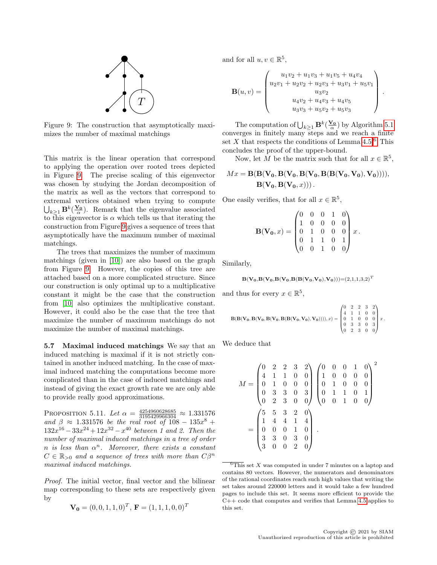<span id="page-15-0"></span>

Figure 9: The construction that asymptotically maximizes the number of maximal matchings

This matrix is the linear operation that correspond to applying the operation over rooted trees depicted in Figure [9.](#page-15-0) The precise scaling of this eigenvector was chosen by studying the Jordan decomposition of the matrix as well as the vectors that correspond to extremal vertices obtained when trying to compute  $\bigcup_{k\geq 1} \mathbf{B}^k(\frac{\mathbf{V_0}}{\alpha})$ . Remark that the eigenvalue associated to this eigenvector is  $\alpha$  which tells us that iterating the construction from Figure [9](#page-15-0) gives a sequence of trees that asymptotically have the maximum number of maximal matchings.

The trees that maximizes the number of maximum matchings (given in [\[10\]](#page-18-18)) are also based on the graph from Figure [9.](#page-15-0) However, the copies of this tree are attached based on a more complicated structure. Since our construction is only optimal up to a multiplicative constant it might be the case that the construction from [\[10\]](#page-18-18) also optimizes the multiplicative constant. However, it could also be the case that the tree that maximize the number of maximum matchings do not maximize the number of maximal matchings.

5.7 Maximal induced matchings We say that an induced matching is maximal if it is not strictly contained in another induced matching. In the case of maximal induced matching the computations become more complicated than in the case of induced matchings and instead of giving the exact growth rate we are only able to provide really good approximations.

<span id="page-15-2"></span>PROPOSITION 5.11. Let  $\alpha = \frac{4254960628685}{3195429966304} \approx 1.331576$ and  $\beta \approx 1.331576$  be the real root of  $108 - 135x^8 +$  $132x^{16} - 33x^{24} + 12x^{32} - x^{40}$  between 1 and 2. Then the number of maximal induced matchings in a tree of order n is less than  $\alpha^n$ . Moreover, there exists a constant  $C \in \mathbb{R}_{>0}$  and a sequence of trees with more than  $C\beta^{n}$ maximal induced matchings.

Proof. The initial vector, final vector and the bilinear map corresponding to these sets are respectively given by

$$
\mathbf{V_0} = (0, 0, 1, 1, 0)^T, \mathbf{F} = (1, 1, 1, 0, 0)^T
$$

and for all  $u, v \in \mathbb{R}^5$ ,

$$
\mathbf{B}(u,v) = \begin{pmatrix} u_1v_2 + u_1v_3 + u_1v_5 + u_4v_4 \\ u_2v_1 + u_2v_2 + u_2v_3 + u_3v_1 + u_5v_1 \\ u_3v_2 \\ u_4v_2 + u_4v_3 + u_4v_5 \\ u_3v_3 + u_5v_2 + u_5v_3 \end{pmatrix}
$$

.

The computation of  $\bigcup_{k\geq 1} \mathbf{B}^k(\frac{\mathbf{V_0}}{\alpha})$  by Algorithm [5.1](#page-8-3) converges in finitely many steps and we reach a finite set X that respects the conditions of Lemma  $4.5<sup>6</sup>$  $4.5<sup>6</sup>$  $4.5<sup>6</sup>$  This concludes the proof of the upper-bound.

Now, let M be the matrix such that for all  $x \in \mathbb{R}^5$ ,

$$
Mx = \mathbf{B}(\mathbf{B}(\mathbf{V_0}, \mathbf{B}(\mathbf{V_0}, \mathbf{B}(\mathbf{V_0}, \mathbf{B}(\mathbf{B}(\mathbf{V_0}, \mathbf{V_0}), \mathbf{V_0})))),
$$
  

$$
\mathbf{B}(\mathbf{V_0}, \mathbf{B}(\mathbf{V_0}, x)))
$$
.

One easily verifies, that for all  $x \in \mathbb{R}^5$ ,

$$
\mathbf{B}(\mathbf{V_0},x) = \begin{pmatrix} 0 & 0 & 0 & 1 & 0 \\ 1 & 0 & 0 & 0 & 0 \\ 0 & 1 & 0 & 0 & 0 \\ 0 & 1 & 1 & 0 & 1 \\ 0 & 0 & 1 & 0 & 0 \end{pmatrix}x.
$$

Similarly,

$$
\mathbf{B}(\mathbf{V_0},\mathbf{B}(\mathbf{V_0},\mathbf{B}(\mathbf{V_0},\mathbf{B}(\mathbf{B}(\mathbf{V_0},\mathbf{V_0}),\mathbf{V_0})))\!=\!(2,1,1,3,2)^T
$$

and thus for every  $x \in \mathbb{R}^5$ ,

$$
\mathbf{B}(\mathbf{B}(\mathbf{V_0},\mathbf{B}(\mathbf{V_0},\mathbf{B}(\mathbf{V_0},\mathbf{B}(\mathbf{B}(\mathbf{V_0},\mathbf{V_0}),\mathbf{V_0})))),x)=\begin{pmatrix} 0 & 2 & 2 & 3 & 2 \\ 4 & 1 & 1 & 0 & 0 \\ 0 & 1 & 0 & 0 & 0 \\ 0 & 3 & 3 & 0 & 3 \\ 0 & 2 & 3 & 0 & 0 \end{pmatrix}x.
$$

We deduce that

$$
M = \begin{pmatrix} 0 & 2 & 2 & 3 & 2 \\ 4 & 1 & 1 & 0 & 0 \\ 0 & 1 & 0 & 0 & 0 \\ 0 & 3 & 3 & 0 & 3 \\ 0 & 2 & 3 & 0 & 0 \end{pmatrix} \begin{pmatrix} 0 & 0 & 0 & 1 & 0 \\ 1 & 0 & 0 & 0 & 0 \\ 0 & 1 & 0 & 0 & 0 \\ 0 & 1 & 1 & 0 & 1 \\ 0 & 0 & 1 & 0 & 0 \end{pmatrix}^2
$$

$$
= \begin{pmatrix} 5 & 5 & 3 & 2 & 0 \\ 1 & 4 & 4 & 1 & 4 \\ 0 & 0 & 0 & 1 & 0 \\ 3 & 3 & 0 & 3 & 0 \\ 3 & 0 & 0 & 2 & 0 \end{pmatrix}.
$$

<span id="page-15-1"></span> $\sqrt[6]{\text{This}}$  set X was computed in under 7 minutes on a laptop and contains 80 vectors. However, the numerators and denominators of the rational coordinates reach such high values that writing the set takes around 220000 letters and it would take a few hundred pages to include this set. It seems more efficient to provide the C++ code that computes and verifies that Lemma [4.5](#page-5-2) applies to this set.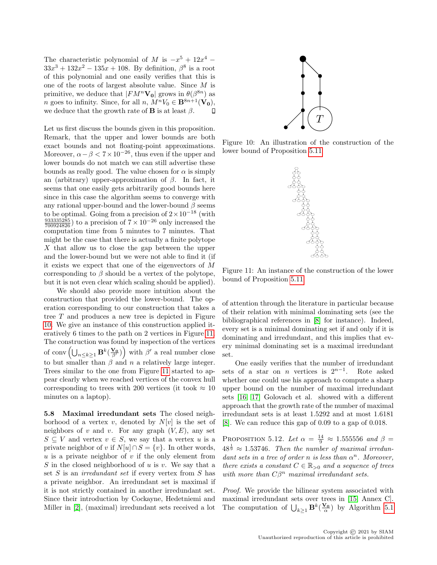The characteristic polynomial of M is  $-x^5 + 12x^4$  –  $33x^{3} + 132x^{2} - 135x + 108$ . By definition,  $\beta^{8}$  is a root of this polynomial and one easily verifies that this is one of the roots of largest absolute value. Since M is primitive, we deduce that  $|FM^n\mathbf{V_0}|$  grows in  $\theta(\beta^{8n})$  as *n* goes to infinity. Since, for all *n*,  $M^nV_0 \in \mathbf{B}^{8n+1}(\mathbf{V_0})$ , we deduce that the growth rate of **B** is at least  $\beta$ . П

Let us first discuss the bounds given in this proposition. Remark, that the upper and lower bounds are both exact bounds and not floating-point approximations. Moreover,  $\alpha - \beta < 7 \times 10^{-26}$ , thus even if the upper and lower bounds do not match we can still advertise these bounds as really good. The value chosen for  $\alpha$  is simply an (arbitrary) upper-approximation of  $\beta$ . In fact, it seems that one easily gets arbitrarily good bounds here since in this case the algorithm seems to converge with any rational upper-bound and the lower-bound  $\beta$  seems to be optimal. Going from a precision of  $2 \times 10^{-18}$  (with  $\frac{933335285}{700924826}$  to a precision of  $7 \times 10^{-26}$  only increased the computation time from 5 minutes to 7 minutes. That might be the case that there is actually a finite polytope X that allow us to close the gap between the upper and the lower-bound but we were not able to find it (if it exists we expect that one of the eigenvectors of M corresponding to  $\beta$  should be a vertex of the polytope, but it is not even clear which scaling should be applied).

We should also provide more intuition about the construction that provided the lower-bound. The operation corresponding to our construction that takes a tree T and produces a new tree is depicted in Figure [10.](#page-16-0) We give an instance of this construction applied iteratively 6 times to the path on 2 vertices in Figure [11.](#page-16-1) The construction was found by inspection of the vertices of conv $\left(\bigcup_{n\leq k\geq 1}\mathbf{B}^{k}(\frac{\mathbf{V_0}}{\beta'})\right)$  with  $\beta'$  a real number close to but smaller than  $\beta$  and n a relatively large integer. Trees similar to the one from Figure [11](#page-16-1) started to appear clearly when we reached vertices of the convex hull corresponding to trees with 200 vertices (it took  $\approx 10$ minutes on a laptop).

5.8 Maximal irredundant sets The closed neighborhood of a vertex v, denoted by  $N[v]$  is the set of neighbors of v and v. For any graph  $(V, E)$ , any set  $S \subseteq V$  and vertex  $v \in S$ , we say that a vertex u is a private neighbor of v if  $N[u] \cap S = \{v\}$ . In other words, u is a private neighbor of  $v$  if the only element from S in the closed neighborhood of u is v. We say that a set  $S$  is an *irredundant set* if every vertex from  $S$  has a private neighbor. An irredundant set is maximal if it is not strictly contained in another irredundant set. Since their introduction by Cockayne, Hedetniemi and Miller in [\[2\]](#page-18-19), (maximal) irredundant sets received a lot

<span id="page-16-0"></span>

<span id="page-16-1"></span>Figure 10: An illustration of the construction of the lower bound of Proposition [5.11](#page-15-2)



Figure 11: An instance of the construction of the lower bound of Proposition [5.11](#page-15-2)

of attention through the literature in particular because of their relation with minimal dominating sets (see the bibliographical references in [\[8\]](#page-18-9) for instance). Indeed, every set is a minimal dominating set if and only if it is dominating and irredundant, and this implies that every minimal dominating set is a maximal irredundant set.

One easily verifies that the number of irredundant sets of a star on *n* vertices is  $2^{n-1}$ . Rote asked whether one could use his approach to compute a sharp upper bound on the number of maximal irredundant sets [\[16,](#page-18-6) [17\]](#page-18-7) Golovach et al. showed with a different approach that the growth rate of the number of maximal irredundant sets is at least 1.5292 and at most 1.6181 [\[8\]](#page-18-9). We can reduce this gap of 0.09 to a gap of 0.018.

PROPOSITION 5.12. Let  $\alpha = \frac{14}{9} \approx 1.555556$  and  $\beta =$  $48^{\frac{1}{9}} \approx 1.53746$ . Then the number of maximal irredundant sets in a tree of order n is less than  $\alpha^n$ . Moreover, there exists a constant  $C \in \mathbb{R}_{>0}$  and a sequence of trees with more than  $C\beta^n$  maximal irredundant sets.

Proof. We provide the bilinear system associated with maximal irredundant sets over trees in [\[15,](#page-18-15) Annex C]. The computation of  $\bigcup_{k\geq 1} \mathbf{B}^k(\frac{\mathbf{V_0}}{\alpha})$  by Algorithm [5.1](#page-8-3)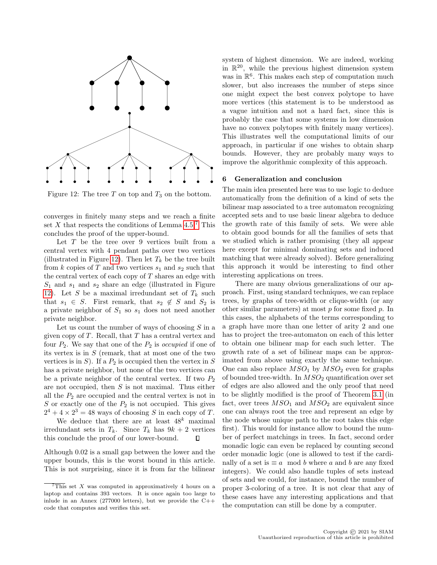<span id="page-17-1"></span>

Figure 12: The tree  $T$  on top and  $T_3$  on the bottom.

converges in finitely many steps and we reach a finite set X that respects the conditions of Lemma  $4.5<sup>7</sup>$  $4.5<sup>7</sup>$  $4.5<sup>7</sup>$  This concludes the proof of the upper-bound.

Let  $T$  be the tree over 9 vertices built from a central vertex with 4 pendant paths over two vertices (illustrated in Figure [12\)](#page-17-1). Then let  $T_k$  be the tree built from k copies of T and two vertices  $s_1$  and  $s_2$  such that the central vertex of each copy of  $T$  shares an edge with  $S_1$  and  $s_1$  and  $s_2$  share an edge (illustrated in Figure [12\)](#page-17-1). Let S be a maximal irredundant set of  $T_k$  such that  $s_1 \in S$ . First remark, that  $s_2 \notin S$  and  $S_2$  is a private neighbor of  $S_1$  so  $s_1$  does not need another private neighbor.

Let us count the number of ways of choosing  $S$  in a given copy of  $T$ . Recall, that  $T$  has a central vertex and four  $P_2$ . We say that one of the  $P_2$  is *occupied* if one of its vertex is in  $S$  (remark, that at most one of the two vertices is in  $S$ ). If a  $P_2$  is occupied then the vertex in  $S$ has a private neighbor, but none of the two vertices can be a private neighbor of the central vertex. If two  $P_2$ are not occupied, then  $S$  is not maximal. Thus either all the  $P_2$  are occupied and the central vertex is not in  $S$  or exactly one of the  $P_2$  is not occupied. This gives  $2^4 + 4 \times 2^3 = 48$  ways of choosing S in each copy of T.

We deduce that there are at least  $48^k$  maximal irredundant sets in  $T_k$ . Since  $T_k$  has  $9k + 2$  vertices this conclude the proof of our lower-bound.  $\Box$ 

Although 0.02 is a small gap between the lower and the upper bounds, this is the worst bound in this article. This is not surprising, since it is from far the bilinear

system of highest dimension. We are indeed, working in  $\mathbb{R}^{20}$ , while the previous highest dimension system was in  $\mathbb{R}^6$ . This makes each step of computation much slower, but also increases the number of steps since one might expect the best convex polytope to have more vertices (this statement is to be understood as a vague intuition and not a hard fact, since this is probably the case that some systems in low dimension have no convex polytopes with finitely many vertices). This illustrates well the computational limits of our approach, in particular if one wishes to obtain sharp bounds. However, they are probably many ways to improve the algorithmic complexity of this approach.

## 6 Generalization and conclusion

The main idea presented here was to use logic to deduce automatically from the definition of a kind of sets the bilinear map associated to a tree automaton recognizing accepted sets and to use basic linear algebra to deduce the growth rate of this family of sets. We were able to obtain good bounds for all the families of sets that we studied which is rather promising (they all appear here except for minimal dominating sets and induced matching that were already solved). Before generalizing this approach it would be interesting to find other interesting applications on trees.

There are many obvious generalizations of our approach. First, using standard techniques, we can replace trees, by graphs of tree-width or clique-width (or any other similar parameters) at most  $p$  for some fixed  $p$ . In this cases, the alphabets of the terms corresponding to a graph have more than one letter of arity 2 and one has to project the tree-automaton on each of this letter to obtain one bilinear map for each such letter. The growth rate of a set of bilinear maps can be approximated from above using exactly the same technique. One can also replace  $MSO<sub>1</sub>$  by  $MSO<sub>2</sub>$  even for graphs of bounded tree-width. In  $MSO<sub>2</sub>$  quantification over set of edges are also allowed and the only proof that need to be slightly modified is the proof of Theorem [3.1](#page-3-1) (in fact, over trees  $MSO<sub>1</sub>$  and  $MSO<sub>2</sub>$  are equivalent since one can always root the tree and represent an edge by the node whose unique path to the root takes this edge first). This would for instance allow to bound the number of perfect matchings in trees. In fact, second order monadic logic can even be replaced by counting second order monadic logic (one is allowed to test if the cardinally of a set is  $\equiv a \mod b$  where a and b are any fixed integers). We could also handle tuples of sets instead of sets and we could, for instance, bound the number of proper 3-coloring of a tree. It is not clear that any of these cases have any interesting applications and that the computation can still be done by a computer.

<span id="page-17-0"></span>This set  $X$  was computed in approximatively 4 hours on a laptop and contains 393 vectors. It is once again too large to inlude in an Annex (277000 letters), but we provide the  $C++$ code that computes and verifies this set.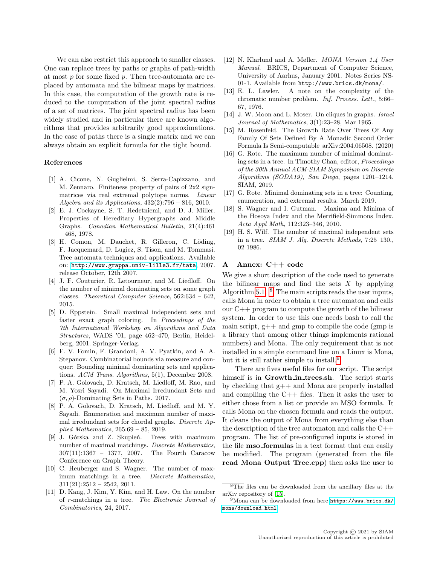We can also restrict this approach to smaller classes. One can replace trees by paths or graphs of path-width at most p for some fixed p. Then tree-automata are replaced by automata and the bilinear maps by matrices. In this case, the computation of the growth rate is reduced to the computation of the joint spectral radius of a set of matrices. The joint spectral radius has been widely studied and in particular there are known algorithms that provides arbitrarily good approximations. In the case of paths there is a single matrix and we can always obtain an explicit formula for the tight bound.

## References

- <span id="page-18-12"></span>[1] A. Cicone, N. Guglielmi, S. Serra-Capizzano, and M. Zennaro. Finiteness property of pairs of 2x2 signmatrices via real extremal polytope norms. Linear Algebra and its Applications,  $432(2)$ :796 – 816, 2010.
- <span id="page-18-19"></span>[2] E. J. Cockayne, S. T. Hedetniemi, and D. J. Miller. Properties of Hereditary Hypergraphs and Middle Graphs. Canadian Mathematical Bulletin, 21(4):461 – 468, 1978.
- <span id="page-18-11"></span>[3] H. Comon, M. Dauchet, R. Gilleron, C. Löding, F. Jacquemard, D. Lugiez, S. Tison, and M. Tommasi. Tree automata techniques and applications. Available on: <http://www.grappa.univ-lille3.fr/tata>, 2007. release October, 12th 2007.
- <span id="page-18-4"></span>[4] J. F. Couturier, R. Letourneur, and M. Liedloff. On the number of minimal dominating sets on some graph classes. Theoretical Computer Science, 562:634 – 642, 2015.
- <span id="page-18-2"></span>[5] D. Eppstein. Small maximal independent sets and faster exact graph coloring. In Proceedings of the 7th International Workshop on Algorithms and Data Structures, WADS '01, page 462–470, Berlin, Heidelberg, 2001. Springer-Verlag.
- <span id="page-18-3"></span>[6] F. V. Fomin, F. Grandoni, A. V. Pyatkin, and A. A. Stepanov. Combinatorial bounds via measure and conquer: Bounding minimal dominating sets and applications. ACM Trans. Algorithms, 5(1), December 2008.
- <span id="page-18-8"></span>[7] P. A. Golovach, D. Kratsch, M. Liedloff, M. Rao, and M. Yosri Sayadi. On Maximal Irredundant Sets and  $(\sigma, \rho)$ -Dominating Sets in Paths. 2017.
- <span id="page-18-9"></span>[8] P. A. Golovach, D. Kratsch, M. Liedloff, and M. Y. Sayadi. Enumeration and maximum number of maximal irredundant sets for chordal graphs. Discrete Applied Mathematics, 265:69 – 85, 2019.
- <span id="page-18-17"></span>[9] J. Górska and Z. Skupień. Trees with maximum number of maximal matchings. Discrete Mathematics, 307(11):1367 – 1377, 2007. The Fourth Caracow Conference on Graph Theory.
- <span id="page-18-18"></span>[10] C. Heuberger and S. Wagner. The number of maximum matchings in a tree. Discrete Mathematics,  $311(21):2512 - 2542, 2011.$
- <span id="page-18-10"></span>[11] D. Kang, J. Kim, Y. Kim, and H. Law. On the number of r-matchings in a tree. The Electronic Journal of Combinatorics, 24, 2017.
- <span id="page-18-13"></span>[12] N. Klarlund and A. Møller. MONA Version 1.4 User Manual. BRICS, Department of Computer Science, University of Aarhus, January 2001. Notes Series NS-01-1. Available from http://www.brics.dk/mona/.
- <span id="page-18-1"></span>[13] E. L. Lawler. A note on the complexity of the chromatic number problem. Inf. Process. Lett., 5:66– 67, 1976.
- <span id="page-18-0"></span>[14] J. W. Moon and L. Moser. On cliques in graphs. Israel Journal of Mathematics, 3(1):23–28, Mar 1965.
- <span id="page-18-15"></span>[15] M. Rosenfeld. The Growth Rate Over Trees Of Any Family Of Sets Defined By A Monadic Second Order Formula Is Semi-computable arXiv:2004.06508. (2020)
- <span id="page-18-6"></span>[16] G. Rote. The maximum number of minimal dominating sets in a tree. In Timothy Chan, editor, Proceedings of the 30th Annual ACM-SIAM Symposium on Discrete Algorithms (SODA19), San Diego, pages 1201–1214. SIAM, 2019.
- <span id="page-18-7"></span>[17] G. Rote. Minimal dominating sets in a tree: Counting, enumeration, and extremal results. March 2019.
- <span id="page-18-16"></span>[18] S. Wagner and I. Gutman. Maxima and Minima of the Hosoya Index and the Merrifield-Simmons Index. Acta Appl Math, 112:323–346, 2010.
- <span id="page-18-5"></span>[19] H. S. Wilf. The number of maximal independent sets in a tree. SIAM J. Alg. Discrete Methods, 7:25–130., 02 1986.

# <span id="page-18-14"></span>A Annex: C++ code

We give a short description of the code used to generate the bilinear maps and find the sets  $X$  by applying Algorithm [5.1.](#page-8-3)  $\overline{8}$  $\overline{8}$  $\overline{8}$  The main scripts reads the user inputs, calls Mona in order to obtain a tree automaton and calls our C++ program to compute the growth of the bilinear system. In order to use this one needs bash to call the main script,  $g++$  and gmp to compile the code (gmp is a library that among other things implements rational numbers) and Mona. The only requirement that is not installed in a simple command line on a Linux is Mona, but it is still rather simple to install.<sup>[9](#page-18-21)</sup>

There are fives useful files for our script. The script himself is in Growth in trees.sh. The script starts by checking that g++ and Mona are properly installed and compiling the C++ files. Then it asks the user to either chose from a list or provide an MSO formula. It calls Mona on the chosen formula and reads the output. It cleans the output of Mona from everything else than the description of the tree automaton and calls the C++ program. The list of pre-configured inputs is stored in the file mso formulas in a text format that can easily be modified. The program (generated from the file read\_Mona\_Output\_Tree.cpp) then asks the user to

<span id="page-18-20"></span><sup>&</sup>lt;sup>8</sup>The files can be downloaded from the ancillary files at the arXiv repository of [\[15\]](#page-18-15).

<span id="page-18-21"></span><sup>9</sup>Mona can be downloaded from here [https://www.brics.dk/](https://www.brics.dk/mona/download.html) [mona/download.html](https://www.brics.dk/mona/download.html)